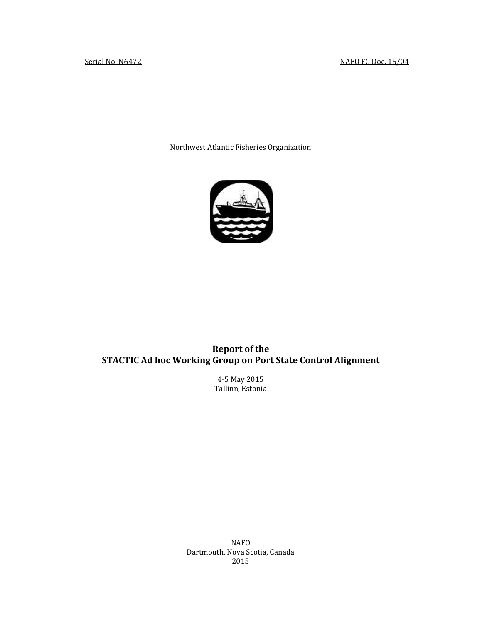Northwest Atlantic Fisheries Organization



# **Report of the STACTIC Ad hoc Working Group on Port State Control Alignment**

4-5 May 2015 Tallinn, Estonia

NAFO Dartmouth, Nova Scotia, Canada 2015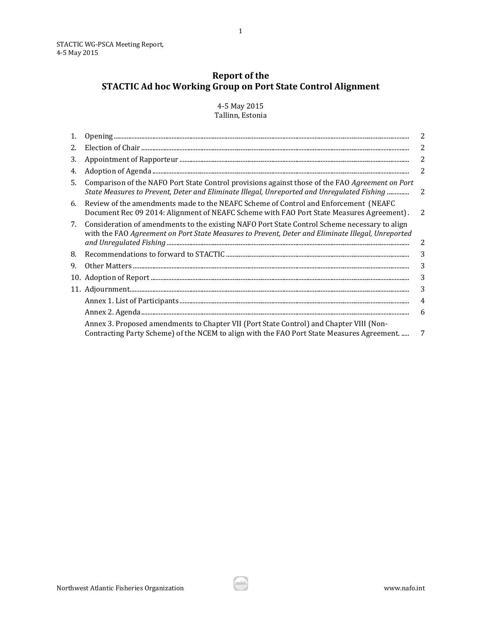# **Report of the STACTIC Ad hoc Working Group on Port State Control Alignment**

4-5 May 2015 Tallinn, Estonia

| 1. |                                                                                                                                                                                                                                                                                                 | 2              |
|----|-------------------------------------------------------------------------------------------------------------------------------------------------------------------------------------------------------------------------------------------------------------------------------------------------|----------------|
| 2. | $\begin{minipage}[c]{.45\textwidth} \centering \begin{tabular}{p{0.8cm}p{0.8cm}p{0.8cm}p{0.8cm}p{0.8cm}p{0.8cm}p{0.8cm}p{0.8cm}p{0.8cm}p{0.8cm}p{0.8cm}p{0.8cm}p{0.8cm}p{0.8cm}p{0.8cm}p{0.8cm}p{0.8cm}p{0.8cm}p{0.8cm}p{0.8cm}p{0.8cm}p{0.8cm}p{0.8cm}p{0.8cm}p{0.8cm}p{0.8cm}p{0.8cm}p{0.8cm$ | 2              |
| 3. |                                                                                                                                                                                                                                                                                                 | 2              |
| 4. |                                                                                                                                                                                                                                                                                                 | 2              |
| 5. | Comparison of the NAFO Port State Control provisions against those of the FAO Agreement on Port<br>State Measures to Prevent, Deter and Eliminate Illegal, Unreported and Unregulated Fishing                                                                                                   | $\overline{2}$ |
| 6. | Review of the amendments made to the NEAFC Scheme of Control and Enforcement (NEAFC<br>Document Rec 09 2014: Alignment of NEAFC Scheme with FAO Port State Measures Agreement).                                                                                                                 | -2             |
| 7. | Consideration of amendments to the existing NAFO Port State Control Scheme necessary to align<br>with the FAO Agreement on Port State Measures to Prevent, Deter and Eliminate Illegal, Unreported                                                                                              | 2              |
| 8. |                                                                                                                                                                                                                                                                                                 | 3              |
| 9. |                                                                                                                                                                                                                                                                                                 | 3              |
|    |                                                                                                                                                                                                                                                                                                 | 3              |
|    |                                                                                                                                                                                                                                                                                                 | 3              |
|    |                                                                                                                                                                                                                                                                                                 | 4              |
|    |                                                                                                                                                                                                                                                                                                 | 6              |
|    | Annex 3. Proposed amendments to Chapter VII (Port State Control) and Chapter VIII (Non-<br>Contracting Party Scheme) of the NCEM to align with the FAO Port State Measures Agreement                                                                                                            | 7              |
|    |                                                                                                                                                                                                                                                                                                 |                |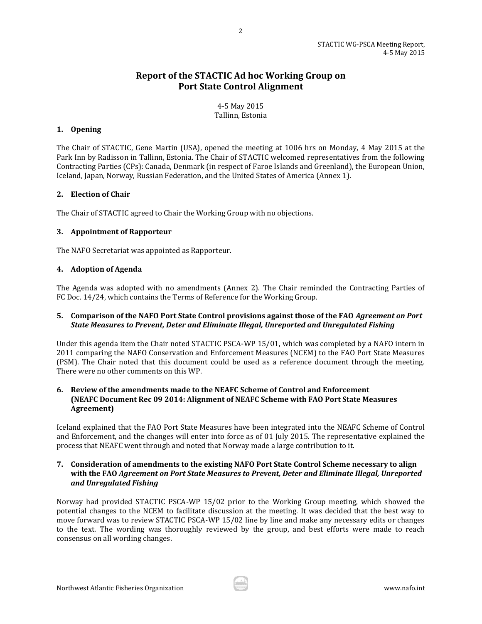# **Report of the STACTIC Ad hoc Working Group on Port State Control Alignment**

2

4-5 May 2015 Tallinn, Estonia

# <span id="page-2-0"></span>**1. Opening**

The Chair of STACTIC, Gene Martin (USA), opened the meeting at 1006 hrs on Monday, 4 May 2015 at the Park Inn by Radisson in Tallinn, Estonia. The Chair of STACTIC welcomed representatives from the following Contracting Parties (CPs): Canada, Denmark (in respect of Faroe Islands and Greenland), the European Union, Iceland, Japan, Norway, Russian Federation, and the United States of America (Annex 1).

#### <span id="page-2-1"></span>**2. Election of Chair**

The Chair of STACTIC agreed to Chair the Working Group with no objections.

#### <span id="page-2-2"></span>**3. Appointment of Rapporteur**

The NAFO Secretariat was appointed as Rapporteur.

#### <span id="page-2-3"></span>**4. Adoption of Agenda**

The Agenda was adopted with no amendments (Annex 2). The Chair reminded the Contracting Parties of FC Doc. 14/24, which contains the Terms of Reference for the Working Group.

#### <span id="page-2-4"></span>**5. Comparison of the NAFO Port State Control provisions against those of the FAO** *Agreement on Port State Measures to Prevent, Deter and Eliminate Illegal, Unreported and Unregulated Fishing*

Under this agenda item the Chair noted STACTIC PSCA-WP 15/01, which was completed by a NAFO intern in 2011 comparing the NAFO Conservation and Enforcement Measures (NCEM) to the FAO Port State Measures (PSM). The Chair noted that this document could be used as a reference document through the meeting. There were no other comments on this WP.

# <span id="page-2-5"></span>**6. Review of the amendments made to the NEAFC Scheme of Control and Enforcement (NEAFC Document Rec 09 2014: Alignment of NEAFC Scheme with FAO Port State Measures Agreement)**

Iceland explained that the FAO Port State Measures have been integrated into the NEAFC Scheme of Control and Enforcement, and the changes will enter into force as of 01 July 2015. The representative explained the process that NEAFC went through and noted that Norway made a large contribution to it.

# <span id="page-2-6"></span>**7. Consideration of amendments to the existing NAFO Port State Control Scheme necessary to align with the FAO** *Agreement on Port State Measures to Prevent, Deter and Eliminate Illegal, Unreported and Unregulated Fishing*

Norway had provided STACTIC PSCA-WP 15/02 prior to the Working Group meeting, which showed the potential changes to the NCEM to facilitate discussion at the meeting. It was decided that the best way to move forward was to review STACTIC PSCA-WP 15/02 line by line and make any necessary edits or changes to the text. The wording was thoroughly reviewed by the group, and best efforts were made to reach consensus on all wording changes.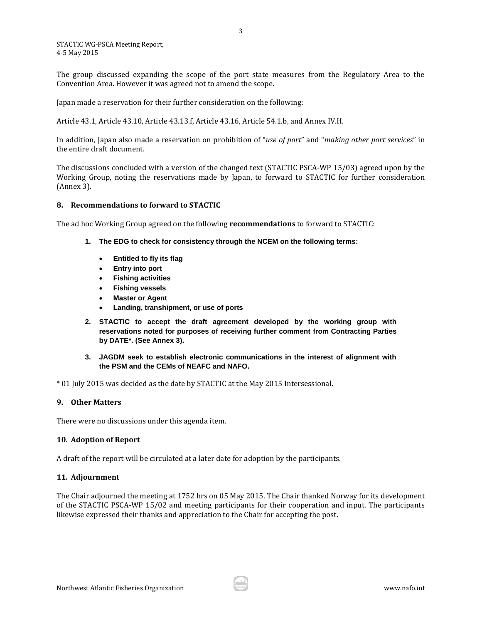The group discussed expanding the scope of the port state measures from the Regulatory Area to the Convention Area. However it was agreed not to amend the scope.

Japan made a reservation for their further consideration on the following:

Article 43.1, Article 43.10, Article 43.13.f, Article 43.16, Article 54.1.b, and Annex IV.H.

In addition, Japan also made a reservation on prohibition of "*use of port*" and "*making other port services*" in the entire draft document.

The discussions concluded with a version of the changed text (STACTIC PSCA-WP 15/03) agreed upon by the Working Group, noting the reservations made by Japan, to forward to STACTIC for further consideration (Annex 3).

#### <span id="page-3-0"></span>**8. Recommendations to forward to STACTIC**

The ad hoc Working Group agreed on the following **recommendations** to forward to STACTIC:

- **1. The EDG to check for consistency through the NCEM on the following terms:** 
	- **Entitled to fly its flag**
	- **Entry into port**
	- **Fishing activities**
	- **Fishing vessels**
	- **Master or Agent**
	- **Landing, transhipment, or use of ports**
- **2. STACTIC to accept the draft agreement developed by the working group with reservations noted for purposes of receiving further comment from Contracting Parties by DATE\*. (See Annex 3).**
- **3. JAGDM seek to establish electronic communications in the interest of alignment with the PSM and the CEMs of NEAFC and NAFO.**

\* 01 July 2015 was decided as the date by STACTIC at the May 2015 Intersessional.

# <span id="page-3-1"></span>**9. Other Matters**

There were no discussions under this agenda item.

# <span id="page-3-2"></span>**10. Adoption of Report**

A draft of the report will be circulated at a later date for adoption by the participants.

#### <span id="page-3-3"></span>**11. Adjournment**

The Chair adjourned the meeting at 1752 hrs on 05 May 2015. The Chair thanked Norway for its development of the STACTIC PSCA-WP 15/02 and meeting participants for their cooperation and input. The participants likewise expressed their thanks and appreciation to the Chair for accepting the post.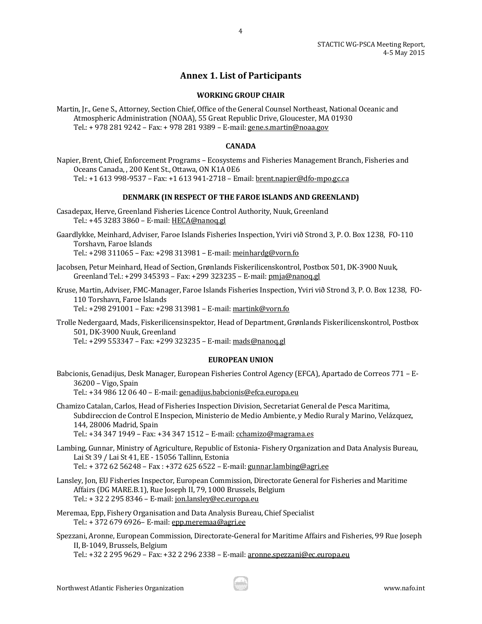# **Annex 1. List of Participants**

4

# **WORKING GROUP CHAIR**

<span id="page-4-0"></span>Martin, Jr., Gene S., Attorney, Section Chief, Office of the General Counsel Northeast, National Oceanic and Atmospheric Administration (NOAA), 55 Great Republic Drive, Gloucester, MA 01930 Tel.: + 978 281 9242 – Fax: + 978 281 9389 – E-mail[: gene.s.martin@noaa.gov](mailto:gene.s.martin@noaa.gov) 

# **CANADA**

Napier, Brent, Chief, Enforcement Programs – Ecosystems and Fisheries Management Branch, Fisheries and Oceans Canada, , 200 Kent St., Ottawa, ON K1A 0E6 Tel.: +1 613 998-9537 – Fax: +1 613 941-2718 – Email: [brent.napier@dfo-mpo.gc.ca](mailto:brent.napier@dfo-mpo.gc.ca) 

#### **DENMARK (IN RESPECT OF THE FAROE ISLANDS AND GREENLAND)**

- Casadepax, Herve, Greenland Fisheries Licence Control Authority, Nuuk, Greenland Tel.: +45 3283 3860 – E-mail[: HECA@nanoq.gl](mailto:HECA@nanoq.gl)
- Gaardlykke, Meinhard, Adviser, Faroe Islands Fisheries Inspection, Yviri við Strond 3, P. O. Box 1238, FO-110 Torshavn, Faroe Islands

Tel.: +298 311065 – Fax: +298 313981 – E-mail: [meinhardg@vorn.fo](mailto:meinhardg@vorn.fo) 

- Jacobsen, Petur Meinhard, Head of Section, Grønlands Fiskerilicenskontrol, Postbox 501, DK-3900 Nuuk, Greenland Tel.: +299 345393 – Fax: +299 323235 – E-mail[: pmja@nanoq.gl](mailto:pmja@nanoq.gl)
- Kruse, Martin, Adviser, FMC-Manager, Faroe Islands Fisheries Inspection, Yviri við Strond 3, P. O. Box 1238, FO-110 Torshavn, Faroe Islands

Tel.: +298 291001 – Fax: +298 313981 – E-mail: [martink@vorn.fo](mailto:martink@vorn.fo) 

Trolle Nedergaard, Mads, Fiskerilicensinspektor, Head of Department, Grønlands Fiskerilicenskontrol, Postbox 501, DK-3900 Nuuk, Greenland

Tel.: +299 553347 – Fax: +299 323235 – E-mail: [mads@nanoq.gl](mailto:mads@nanoq.gl) 

#### **EUROPEAN UNION**

Babcionis, Genadijus, Desk Manager, European Fisheries Control Agency (EFCA), Apartado de Correos 771 – E-36200 – Vigo, Spain Tel.: +34 986 12 06 40 – E-mail: [genadijus.babcionis@efca.europa.eu](mailto:genadijus.babcionis@efca.europa.eu) 

Chamizo Catalan, Carlos, Head of Fisheries Inspection Division, Secretariat General de Pesca Maritima, Subdireccion de Control E Inspecion, Ministerio de Medio Ambiente, y Medio Rural y Marino, Velázquez, 144, 28006 Madrid, Spain

Tel.: +34 347 1949 – Fax: +34 347 1512 – E-mail: [cchamizo@magrama.es](mailto:cchamizo@magrama.es) 

- Lambing, Gunnar, Ministry of Agriculture, Republic of Estonia- Fishery Organization and Data Analysis Bureau, Lai St 39 / Lai St 41, EE - 15056 Tallinn, Estonia Tel.: + 372 62 56248 – Fax : +372 625 6522 – E-mail[: gunnar.lambing@agri.ee](mailto:gunnar.lambing@agri.ee)
- Lansley, Jon, EU Fisheries Inspector, European Commission, Directorate General for Fisheries and Maritime Affairs (DG MARE.B.1), Rue Joseph II, 79, 1000 Brussels, Belgium Tel.: + 32 2 295 8346 – E-mail[: jon.lansley@ec.europa.eu](mailto:jon.lansley@ec.europa.eu)
- Meremaa, Epp, Fishery Organisation and Data Analysis Bureau, Chief Specialist Tel.: + 372 679 6926– E-mail[: epp.meremaa@agri.ee](mailto:epp.meremaa@agri.ee)
- Spezzani, Aronne, European Commission, Directorate-General for Maritime Affairs and Fisheries, 99 Rue Joseph II, B-1049, Brussels, Belgium

Tel.: +32 2 295 9629 – Fax: +32 2 296 2338 – E-mail: [aronne.spezzani@ec.europa.eu](mailto:aronne.spezzani@ec.europa.eu)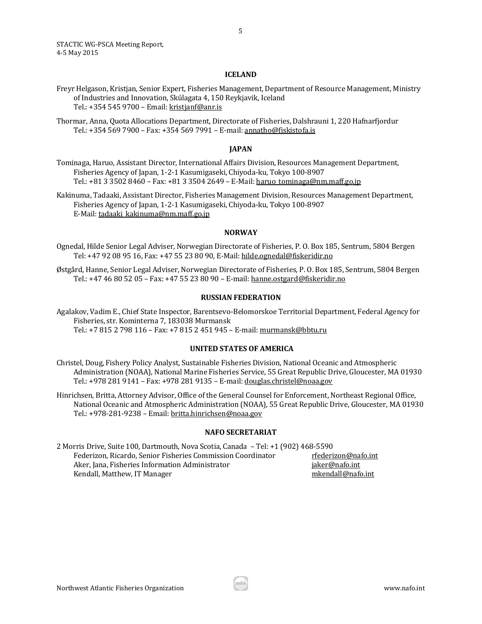#### **ICELAND**

- Freyr Helgason, Kristjan, Senior Expert, Fisheries Management, Department of Resource Management, Ministry of Industries and Innovation, Skúlagata 4, 150 Reykjavik, Iceland Tel.: +354 545 9700 – Email[: kristjanf@anr.is](mailto:kristjanf@anr.is)
- Thormar, Anna, Quota Allocations Department, Directorate of Fisheries, Dalshrauni 1, 220 Hafnarfjordur Tel.: +354 569 7900 – Fax: +354 569 7991 – E-mail: [annatho@fiskistofa.is](mailto:annatho@fiskistofa.is)

#### **JAPAN**

Tominaga, Haruo, Assistant Director, International Affairs Division, Resources Management Department, Fisheries Agency of Japan, 1-2-1 Kasumigaseki, Chiyoda-ku, Tokyo 100-8907 Tel.: +81 3 3502 8460 - Fax: +81 3 3504 2649 - E-Mail: haruo tominaga@nm.maff.go.jp

Kakinuma, Tadaaki, Assistant Director, Fisheries Management Division, Resources Management Department, Fisheries Agency of Japan, 1-2-1 Kasumigaseki, Chiyoda-ku, Tokyo 100-8907 E-Mail[: tadaaki\\_kakinuma@nm.maff.go.jp](mailto:tadaaki_kakinuma@nm.maff.go.jp) 

#### **NORWAY**

- Ognedal, Hilde Senior Legal Adviser, Norwegian Directorate of Fisheries, P. O. Box 185, Sentrum, 5804 Bergen Tel: +47 92 08 95 16, Fax: +47 55 23 80 90, E-Mail[: hilde.ognedal@fiskeridir.no](mailto:hilde.ognedal@fiskeridir.no)
- Østgård, Hanne, Senior Legal Adviser, Norwegian Directorate of Fisheries, P. O. Box 185, Sentrum, 5804 Bergen Tel.: +47 46 80 52 05 – Fax: +47 55 23 80 90 – E-mail[: hanne.ostgard@fiskeridir.no](mailto:hanne.ostgard@fiskeridir.no)

#### **RUSSIAN FEDERATION**

Agalakov, Vadim E., Chief State Inspector, Barentsevo-Belomorskoe Territorial Department, Federal Agency for Fisheries, str. Kominterna 7, 183038 Murmansk Tel.: +7 815 2 798 116 – Fax: +7 815 2 451 945 – E-mail[: murmansk@bbtu.ru](mailto:murmansk@bbtu.ru) 

#### **UNITED STATES OF AMERICA**

Christel, Doug, Fishery Policy Analyst, Sustainable Fisheries Division, National Oceanic and Atmospheric Administration (NOAA), National Marine Fisheries Service, 55 Great Republic Drive, Gloucester, MA 01930 Tel.: +978 281 9141 – Fax: +978 281 9135 – E-mail: [douglas.christel@noaa.gov](mailto:douglas.christel@noaa.gov) 

Hinrichsen, Britta, Attorney Advisor, Office of the General Counsel for Enforcement, Northeast Regional Office, National Oceanic and Atmospheric Administration (NOAA), 55 Great Republic Drive, Gloucester, MA 01930 Tel.: +978-281-9238 – Email[: britta.hinrichsen@noaa.gov](mailto:britta.hinrichsen@noaa.gov) 

#### **NAFO SECRETARIAT**

2 Morris Drive, Suite 100, Dartmouth, Nova Scotia, Canada – Tel: +1 (902) 468-5590 Federizon, Ricardo, Senior Fisheries Commission Coordinator rfederizon@nafo.int Aker, Jana, Fisheries Information Administrator intervention in the intermediation is expected. Kendall, Matthew, IT Manager matter manager matter metall@nafo.int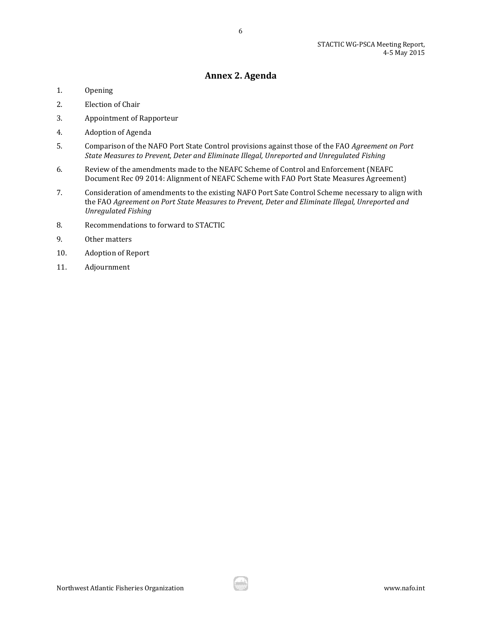# **Annex 2. Agenda**

6

- <span id="page-6-0"></span>1. Opening
- 2. Election of Chair
- 3. Appointment of Rapporteur
- 4. Adoption of Agenda
- 5. Comparison of the NAFO Port State Control provisions against those of the FAO *Agreement on Port State Measures to Prevent, Deter and Eliminate Illegal, Unreported and Unregulated Fishing*
- 6. Review of the amendments made to the NEAFC Scheme of Control and Enforcement (NEAFC Document Rec 09 2014: Alignment of NEAFC Scheme with FAO Port State Measures Agreement)
- 7. Consideration of amendments to the existing NAFO Port Sate Control Scheme necessary to align with the FAO *Agreement on Port State Measures to Prevent, Deter and Eliminate Illegal, Unreported and Unregulated Fishing*
- 8. Recommendations to forward to STACTIC
- 9. Other matters
- 10. Adoption of Report
- 11. Adjournment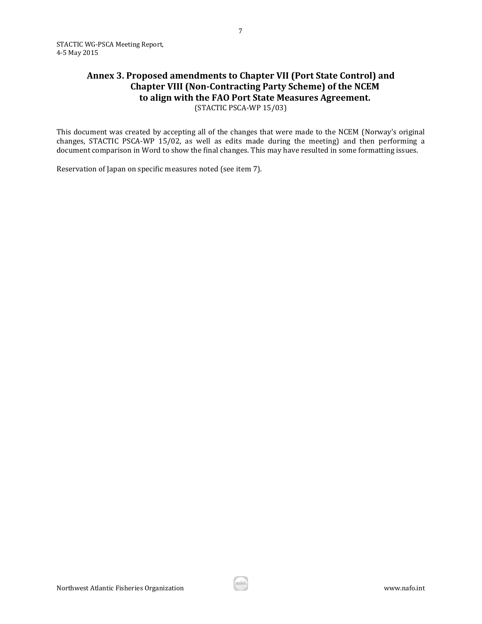# <span id="page-7-0"></span>**Annex 3. Proposed amendments to Chapter VII (Port State Control) and Chapter VIII (Non-Contracting Party Scheme) of the NCEM to align with the FAO Port State Measures Agreement.**  (STACTIC PSCA-WP 15/03)

This document was created by accepting all of the changes that were made to the NCEM (Norway's original changes, STACTIC PSCA-WP 15/02, as well as edits made during the meeting) and then performing a document comparison in Word to show the final changes. This may have resulted in some formatting issues.

Reservation of Japan on specific measures noted (see item 7).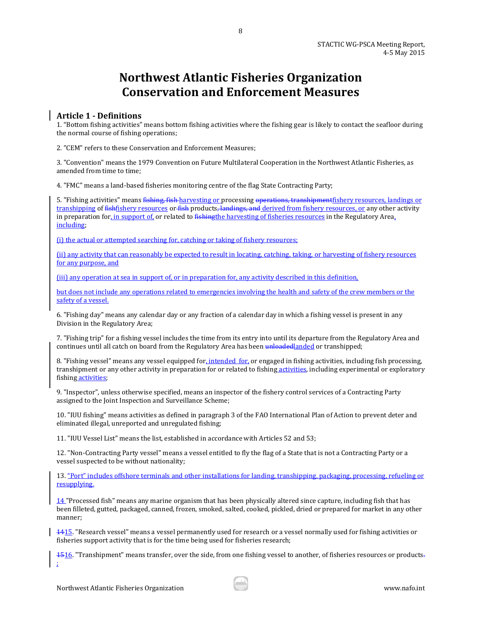# **Northwest Atlantic Fisheries Organization Conservation and Enforcement Measures**

8

# **Article 1 - Definitions**

1. "Bottom fishing activities" means bottom fishing activities where the fishing gear is likely to contact the seafloor during the normal course of fishing operations;

2. "CEM" refers to these Conservation and Enforcement Measures;

3. "Convention" means the 1979 Convention on Future Multilateral Cooperation in the Northwest Atlantic Fisheries, as amended from time to time;

4. "FMC" means a land-based fisheries monitoring centre of the flag State Contracting Party;

5. "Fishing activities" means fishing, fish harvesting or processing operations, transhipmentfishery resources, landings or transhipping of fishfishery resources or fish products, landings, and derived from fishery resources, or any other activity in preparation for, in support of, or related to fishing the harvesting of fisheries resources in the Regulatory Area, including;

(i) the actual or attempted searching for, catching or taking of fishery resources;

(ii) any activity that can reasonably be expected to result in locating, catching, taking, or harvesting of fishery resources for any purpose, and

(iii) any operation at sea in support of, or in preparation for, any activity described in this definition,

but does not include any operations related to emergencies involving the health and safety of the crew members or the safety of a vessel.

6. "Fishing day" means any calendar day or any fraction of a calendar day in which a fishing vessel is present in any Division in the Regulatory Area;

7. "Fishing trip" for a fishing vessel includes the time from its entry into until its departure from the Regulatory Area and continues until all catch on board from the Regulatory Area has been unloaded anded or transhipped;

8. "Fishing vessel" means any vessel equipped for, intended for, or engaged in fishing activities, including fish processing, transhipment or any other activity in preparation for or related to fishing activities, including experimental or exploratory fishing activities;

9. "Inspector", unless otherwise specified, means an inspector of the fishery control services of a Contracting Party assigned to the Joint Inspection and Surveillance Scheme;

10. "IUU fishing" means activities as defined in paragraph 3 of the FAO International Plan of Action to prevent deter and eliminated illegal, unreported and unregulated fishing;

11. "IUU Vessel List" means the list, established in accordance with Articles 52 and 53;

12. "Non-Contracting Party vessel" means a vessel entitled to fly the flag of a State that is not a Contracting Party or a vessel suspected to be without nationality;

13. "Port" includes offshore terminals and other installations for landing, transhipping, packaging, processing, refueling or resupplying.

14 "Processed fish" means any marine organism that has been physically altered since capture, including fish that has been filleted, gutted, packaged, canned, frozen, smoked, salted, cooked, pickled, dried or prepared for market in any other manner;

1415. "Research vessel" means a vessel permanently used for research or a vessel normally used for fishing activities or fisheries support activity that is for the time being used for fisheries research;

1516. "Transhipment" means transfer, over the side, from one fishing vessel to another, of fisheries resources or products. ;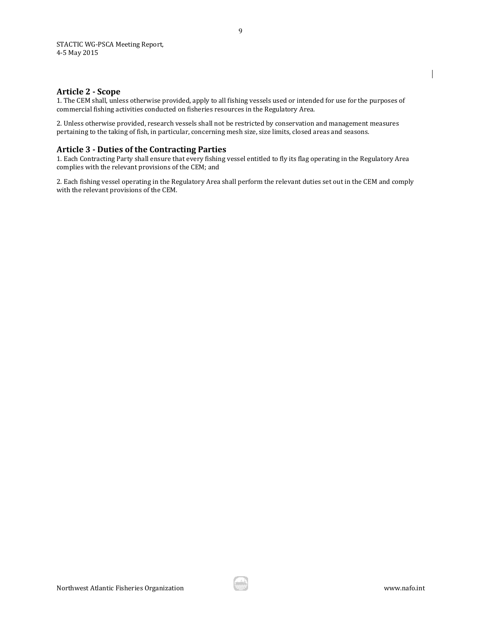# **Article 2 - Scope**

1. The CEM shall, unless otherwise provided, apply to all fishing vessels used or intended for use for the purposes of commercial fishing activities conducted on fisheries resources in the Regulatory Area.

2. Unless otherwise provided, research vessels shall not be restricted by conservation and management measures pertaining to the taking of fish, in particular, concerning mesh size, size limits, closed areas and seasons.

# **Article 3 - Duties of the Contracting Parties**

1. Each Contracting Party shall ensure that every fishing vessel entitled to fly its flag operating in the Regulatory Area complies with the relevant provisions of the CEM; and

2. Each fishing vessel operating in the Regulatory Area shall perform the relevant duties set out in the CEM and comply with the relevant provisions of the CEM.

 $\overline{\phantom{a}}$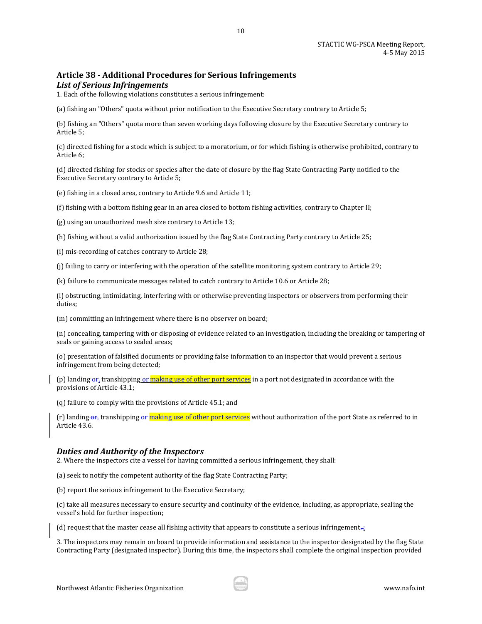# **Article 38 - Additional Procedures for Serious Infringements**  *List of Serious Infringements*

1. Each of the following violations constitutes a serious infringement:

(a) fishing an "Others" quota without prior notification to the Executive Secretary contrary to Article 5;

(b) fishing an "Others" quota more than seven working days following closure by the Executive Secretary contrary to Article 5;

(c) directed fishing for a stock which is subject to a moratorium, or for which fishing is otherwise prohibited, contrary to Article 6;

10

(d) directed fishing for stocks or species after the date of closure by the flag State Contracting Party notified to the Executive Secretary contrary to Article 5;

(e) fishing in a closed area, contrary to Article 9.6 and Article 11;

(f) fishing with a bottom fishing gear in an area closed to bottom fishing activities, contrary to Chapter II;

(g) using an unauthorized mesh size contrary to Article 13;

(h) fishing without a valid authorization issued by the flag State Contracting Party contrary to Article 25;

(i) mis-recording of catches contrary to Article 28;

(j) failing to carry or interfering with the operation of the satellite monitoring system contrary to Article 29;

(k) failure to communicate messages related to catch contrary to Article 10.6 or Article 28;

(l) obstructing, intimidating, interfering with or otherwise preventing inspectors or observers from performing their duties;

(m) committing an infringement where there is no observer on board;

(n) concealing, tampering with or disposing of evidence related to an investigation, including the breaking or tampering of seals or gaining access to sealed areas;

(o) presentation of falsified documents or providing false information to an inspector that would prevent a serious infringement from being detected;

(p) landing or, transhipping or making use of other port services in a port not designated in accordance with the provisions of Article 43.1;

(q) failure to comply with the provisions of Article 45.1; and

(r) landing  $\Theta$ <sub>r</sub>, transhipping or making use of other port services without authorization of the port State as referred to in Article 43.6.

# *Duties and Authority of the Inspectors*

2. Where the inspectors cite a vessel for having committed a serious infringement, they shall:

(a) seek to notify the competent authority of the flag State Contracting Party;

(b) report the serious infringement to the Executive Secretary;

(c) take all measures necessary to ensure security and continuity of the evidence, including, as appropriate, sealing the vessel's hold for further inspection;

(d) request that the master cease all fishing activity that appears to constitute a serious infringement $\pm$ :

3. The inspectors may remain on board to provide information and assistance to the inspector designated by the flag State Contracting Party (designated inspector). During this time, the inspectors shall complete the original inspection provided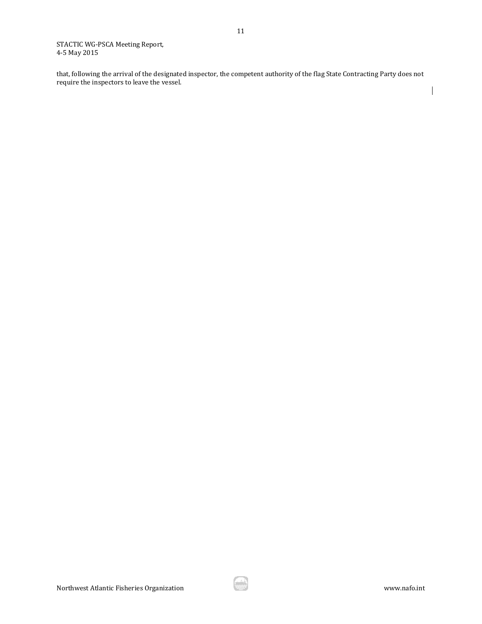that, following the arrival of the designated inspector, the competent authority of the flag State Contracting Party does not require the inspectors to leave the vessel.

 $\overline{\phantom{a}}$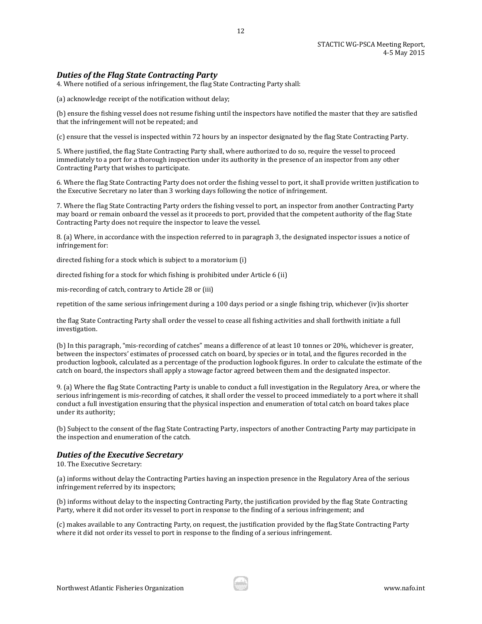# *Duties of the Flag State Contracting Party*

4. Where notified of a serious infringement, the flag State Contracting Party shall:

(a) acknowledge receipt of the notification without delay;

(b) ensure the fishing vessel does not resume fishing until the inspectors have notified the master that they are satisfied that the infringement will not be repeated; and

12

(c) ensure that the vessel is inspected within 72 hours by an inspector designated by the flag State Contracting Party.

5. Where justified, the flag State Contracting Party shall, where authorized to do so, require the vessel to proceed immediately to a port for a thorough inspection under its authority in the presence of an inspector from any other Contracting Party that wishes to participate.

6. Where the flag State Contracting Party does not order the fishing vessel to port, it shall provide written justification to the Executive Secretary no later than 3 working days following the notice of infringement.

7. Where the flag State Contracting Party orders the fishing vessel to port, an inspector from another Contracting Party may board or remain onboard the vessel as it proceeds to port, provided that the competent authority of the flag State Contracting Party does not require the inspector to leave the vessel.

8. (a) Where, in accordance with the inspection referred to in paragraph 3, the designated inspector issues a notice of infringement for:

directed fishing for a stock which is subject to a moratorium (i)

directed fishing for a stock for which fishing is prohibited under Article 6 (ii)

mis-recording of catch, contrary to Article 28 or (iii)

repetition of the same serious infringement during a 100 days period or a single fishing trip, whichever (iv)is shorter

the flag State Contracting Party shall order the vessel to cease all fishing activities and shall forthwith initiate a full investigation.

(b) In this paragraph, "mis-recording of catches" means a difference of at least 10 tonnes or 20%, whichever is greater, between the inspectors' estimates of processed catch on board, by species or in total, and the figures recorded in the production logbook, calculated as a percentage of the production logbook figures. In order to calculate the estimate of the catch on board, the inspectors shall apply a stowage factor agreed between them and the designated inspector.

9. (a) Where the flag State Contracting Party is unable to conduct a full investigation in the Regulatory Area, or where the serious infringement is mis-recording of catches, it shall order the vessel to proceed immediately to a port where it shall conduct a full investigation ensuring that the physical inspection and enumeration of total catch on board takes place under its authority;

(b) Subject to the consent of the flag State Contracting Party, inspectors of another Contracting Party may participate in the inspection and enumeration of the catch.

#### *Duties of the Executive Secretary*

10. The Executive Secretary:

(a) informs without delay the Contracting Parties having an inspection presence in the Regulatory Area of the serious infringement referred by its inspectors;

(b) informs without delay to the inspecting Contracting Party, the justification provided by the flag State Contracting Party, where it did not order its vessel to port in response to the finding of a serious infringement; and

(c) makes available to any Contracting Party, on request, the justification provided by the flag State Contracting Party where it did not order its vessel to port in response to the finding of a serious infringement.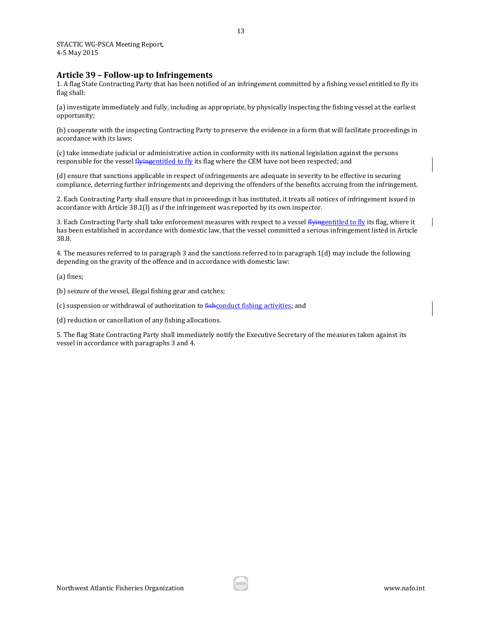#### **Article 39 – Follow-up to Infringements**

1. A flag State Contracting Party that has been notified of an infringement committed by a fishing vessel entitled to fly its flag shall:

(a) investigate immediately and fully, including as appropriate, by physically inspecting the fishing vessel at the earliest opportunity;

(b) cooperate with the inspecting Contracting Party to preserve the evidence in a form that will facilitate proceedings in accordance with its laws;

(c) take immediate judicial or administrative action in conformity with its national legislation against the persons responsible for the vessel flyingentitled to fly its flag where the CEM have not been respected; and

(d) ensure that sanctions applicable in respect of infringements are adequate in severity to be effective in securing compliance, deterring further infringements and depriving the offenders of the benefits accruing from the infringement.

2. Each Contracting Party shall ensure that in proceedings it has instituted, it treats all notices of infringement issued in accordance with Article 38.1(l) as if the infringement was reported by its own inspector.

3. Each Contracting Party shall take enforcement measures with respect to a vessel flyingentitled to fly its flag, where it has been established in accordance with domestic law, that the vessel committed a serious infringement listed in Article 38.8.

4. The measures referred to in paragraph 3 and the sanctions referred to in paragraph 1(d) may include the following depending on the gravity of the offence and in accordance with domestic law:

(a) fines;

(b) seizure of the vessel, illegal fishing gear and catches;

(c) suspension or withdrawal of authorization to fishconduct fishing activities; and

(d) reduction or cancellation of any fishing allocations.

5. The flag State Contracting Party shall immediately notify the Executive Secretary of the measures taken against its vessel in accordance with paragraphs 3 and 4.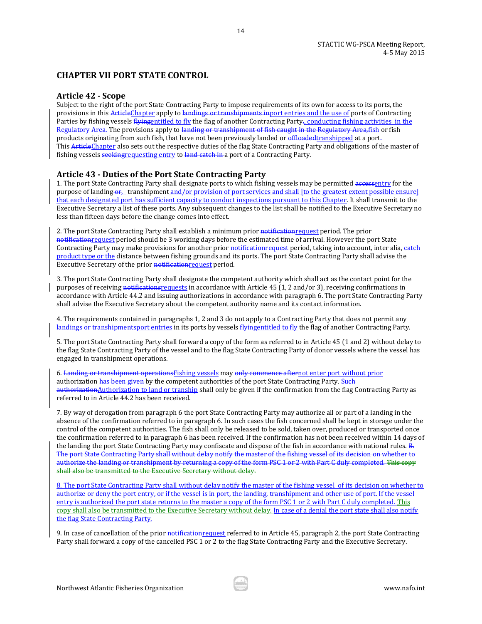# **CHAPTER VII PORT STATE CONTROL**

## **Article 42 - Scope**

Subject to the right of the port State Contracting Party to impose requirements of its own for access to its ports, the provisions in this ArticleChapter apply to landings or transhipments inport entries and the use of ports of Contracting Parties by fishing vessels flyingentitled to fly the flag of another Contracting Party-, conducting fishing activities in the Regulatory Area. The provisions apply to landing or transhipment of fish caught in the Regulatory Area, fish or fish products originating from such fish, that have not been previously landed or offloaded transhipped at a port. This ArticleChapter also sets out the respective duties of the flag State Contracting Party and obligations of the master of fishing vessels seeking requesting entry to land catch in a port of a Contracting Party.

#### **Article 43 - Duties of the Port State Contracting Party**

1. The port State Contracting Party shall designate ports to which fishing vessels may be permitted accessentry for the purpose of landing  $\omega_{t}$  transhipment and/or provision of port services and shall [to the greatest extent possible ensure] that each designated port has sufficient capacity to conduct inspections pursuant to this Chapter. It shall transmit to the Executive Secretary a list of these ports. Any subsequent changes to the list shall be notified to the Executive Secretary no less than fifteen days before the change comes into effect.

2. The port State Contracting Party shall establish a minimum prior notification request period. The prior notificationrequest period should be 3 working days before the estimated time of arrival. However the port State Contracting Party may make provisions for another prior notification request period, taking into account, inter alia, catch product type or the distance between fishing grounds and its ports. The port State Contracting Party shall advise the Executive Secretary of the prior notification request period.

3. The port State Contracting Party shall designate the competent authority which shall act as the contact point for the purposes of receiving notifications requests in accordance with Article 45 (1, 2 and/or 3), receiving confirmations in accordance with Article 44.2 and issuing authorizations in accordance with paragraph 6. The port State Contracting Party shall advise the Executive Secretary about the competent authority name and its contact information.

4. The requirements contained in paragraphs 1, 2 and 3 do not apply to a Contracting Party that does not permit any landings or transhipmentsport entries in its ports by vessels flyingentitled to fly the flag of another Contracting Party.

5. The port State Contracting Party shall forward a copy of the form as referred to in Article 45 (1 and 2) without delay to the flag State Contracting Party of the vessel and to the flag State Contracting Party of donor vessels where the vessel has engaged in transhipment operations.

6. Landing or transhipment operationsFishing vessels may only commence afternot enter port without prior authorization has been given by the competent authorities of the port State Contracting Party. Such authorizationAuthorization to land or tranship shall only be given if the confirmation from the flag Contracting Party as referred to in Article 44.2 has been received.

7. By way of derogation from paragraph 6 the port State Contracting Party may authorize all or part of a landing in the absence of the confirmation referred to in paragraph 6. In such cases the fish concerned shall be kept in storage under the control of the competent authorities. The fish shall only be released to be sold, taken over, produced or transported once the confirmation referred to in paragraph 6 has been received. If the confirmation has not been received within 14 days of the landing the port State Contracting Party may confiscate and dispose of the fish in accordance with national rules.  $\frac{1}{2}$ . The port State Contracting Party shall without delay notify the master of the fishing vessel of its decision on whether to authorize the landing or transhipment by returning a copy of the form PSC 1 or 2 with Part C duly completed. This copy shall also be transmitted to the Executive Secretary without delay.

8. The port State Contracting Party shall without delay notify the master of the fishing vessel of its decision on whether to authorize or deny the port entry, or if the vessel is in port, the landing, transhipment and other use of port. If the vessel entry is authorized the port state returns to the master a copy of the form PSC 1 or 2 with Part C duly completed. This copy shall also be transmitted to the Executive Secretary without delay. In case of a denial the port state shall also notify the flag State Contracting Party.

9. In case of cancellation of the prior notification request referred to in Article 45, paragraph 2, the port State Contracting Party shall forward a copy of the cancelled PSC 1 or 2 to the flag State Contracting Party and the Executive Secretary.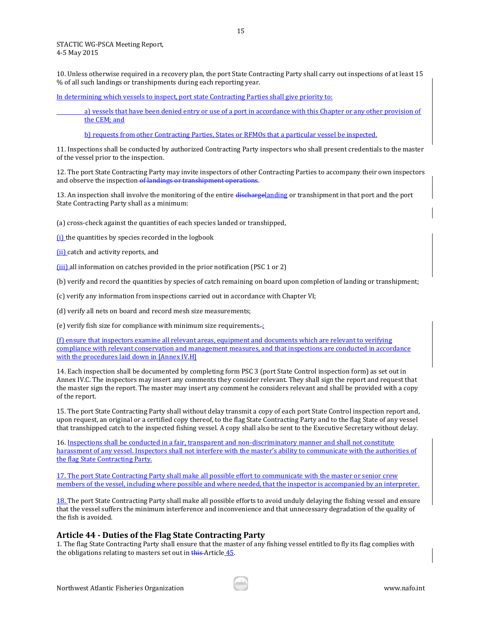10. Unless otherwise required in a recovery plan, the port State Contracting Party shall carry out inspections of at least 15 % of all such landings or transhipments during each reporting year.

In determining which vessels to inspect, port state Contracting Parties shall give priority to:

 a) vessels that have been denied entry or use of a port in accordance with this Chapter or any other provision of the CEM; and

b) requests from other Contracting Parties, States or RFMOs that a particular vessel be inspected.

11. Inspections shall be conducted by authorized Contracting Party inspectors who shall present credentials to the master of the vessel prior to the inspection.

12. The port State Contracting Party may invite inspectors of other Contracting Parties to accompany their own inspectors and observe the inspection of landings or transhipment operations.

13. An inspection shall involve the monitoring of the entire dischargelanding or transhipment in that port and the port State Contracting Party shall as a minimum:

(a) cross-check against the quantities of each species landed or transhipped,

(i) the quantities by species recorded in the logbook

(ii) catch and activity reports, and

(iii) all information on catches provided in the prior notification (PSC 1 or 2)

(b) verify and record the quantities by species of catch remaining on board upon completion of landing or transhipment;

(c) verify any information from inspections carried out in accordance with Chapter VI;

(d) verify all nets on board and record mesh size measurements;

(e) verify fish size for compliance with minimum size requirements $\div$ :

(f) ensure that inspectors examine all relevant areas, equipment and documents which are relevant to verifying compliance with relevant conservation and management measures, and that inspections are conducted in accordance with the procedures laid down in [Annex IV.H]

14. Each inspection shall be documented by completing form PSC 3 (port State Control inspection form) as set out in Annex IV.C. The inspectors may insert any comments they consider relevant. They shall sign the report and request that the master sign the report. The master may insert any comment he considers relevant and shall be provided with a copy of the report.

15. The port State Contracting Party shall without delay transmit a copy of each port State Control inspection report and, upon request, an original or a certified copy thereof, to the flag State Contracting Party and to the flag State of any vessel that transhipped catch to the inspected fishing vessel. A copy shall also be sent to the Executive Secretary without delay.

16. Inspections shall be conducted in a fair, transparent and non-discriminatory manner and shall not constitute harassment of any vessel. Inspectors shall not interfere with the master's ability to communicate with the authorities of the flag State Contracting Party.

17. The port State Contracting Party shall make all possible effort to communicate with the master or senior crew members of the vessel, including where possible and where needed, that the inspector is accompanied by an interpreter.

18. The port State Contracting Party shall make all possible efforts to avoid unduly delaying the fishing vessel and ensure that the vessel suffers the minimum interference and inconvenience and that unnecessary degradation of the quality of the fish is avoided.

#### **Article 44 - Duties of the Flag State Contracting Party**

1. The flag State Contracting Party shall ensure that the master of any fishing vessel entitled to fly its flag complies with the obligations relating to masters set out in this Article 45.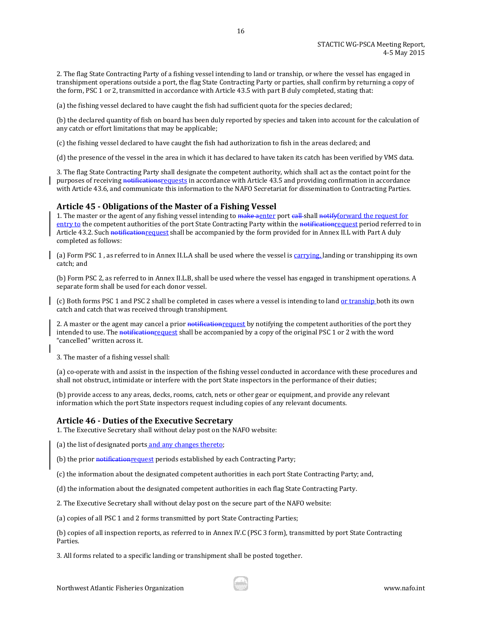2. The flag State Contracting Party of a fishing vessel intending to land or tranship, or where the vessel has engaged in transhipment operations outside a port, the flag State Contracting Party or parties, shall confirm by returning a copy of the form, PSC 1 or 2, transmitted in accordance with Article 43.5 with part B duly completed, stating that:

16

(a) the fishing vessel declared to have caught the fish had sufficient quota for the species declared;

(b) the declared quantity of fish on board has been duly reported by species and taken into account for the calculation of any catch or effort limitations that may be applicable;

(c) the fishing vessel declared to have caught the fish had authorization to fish in the areas declared; and

(d) the presence of the vessel in the area in which it has declared to have taken its catch has been verified by VMS data.

3. The flag State Contracting Party shall designate the competent authority, which shall act as the contact point for the purposes of receiving notifications requests in accordance with Article 43.5 and providing confirmation in accordance with Article 43.6, and communicate this information to the NAFO Secretariat for dissemination to Contracting Parties.

#### **Article 45 - Obligations of the Master of a Fishing Vessel**

1. The master or the agent of any fishing vessel intending to make agnter port call shall notifyforward the request for entry to the competent authorities of the port State Contracting Party within the notification request period referred to in Article 43.2. Such notification request shall be accompanied by the form provided for in Annex II.L with Part A duly completed as follows:

(a) Form PSC 1, as referred to in Annex II.L.A shall be used where the vessel is carrying, landing or transhipping its own catch; and

(b) Form PSC 2, as referred to in Annex II.L.B, shall be used where the vessel has engaged in transhipment operations. A separate form shall be used for each donor vessel.

(c) Both forms PSC 1 and PSC 2 shall be completed in cases where a vessel is intending to land or tranship both its own catch and catch that was received through transhipment.

2. A master or the agent may cancel a prior notification request by notifying the competent authorities of the port they intended to use. The notification request shall be accompanied by a copy of the original PSC 1 or 2 with the word "cancelled" written across it.

3. The master of a fishing vessel shall:

(a) co-operate with and assist in the inspection of the fishing vessel conducted in accordance with these procedures and shall not obstruct, intimidate or interfere with the port State inspectors in the performance of their duties;

(b) provide access to any areas, decks, rooms, catch, nets or other gear or equipment, and provide any relevant information which the port State inspectors request including copies of any relevant documents.

# **Article 46 - Duties of the Executive Secretary**

1. The Executive Secretary shall without delay post on the NAFO website:

(a) the list of designated ports and any changes thereto;

(b) the prior notification request periods established by each Contracting Party;

(c) the information about the designated competent authorities in each port State Contracting Party; and,

(d) the information about the designated competent authorities in each flag State Contracting Party.

2. The Executive Secretary shall without delay post on the secure part of the NAFO website:

(a) copies of all PSC 1 and 2 forms transmitted by port State Contracting Parties;

(b) copies of all inspection reports, as referred to in Annex IV.C (PSC 3 form), transmitted by port State Contracting Parties.

3. All forms related to a specific landing or transhipment shall be posted together.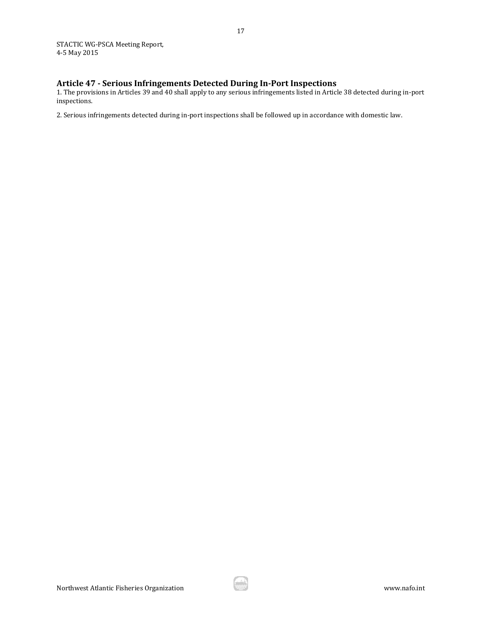# **Article 47 - Serious Infringements Detected During In-Port Inspections**

1. The provisions in Articles 39 and 40 shall apply to any serious infringements listed in Article 38 detected during in-port inspections.

2. Serious infringements detected during in-port inspections shall be followed up in accordance with domestic law.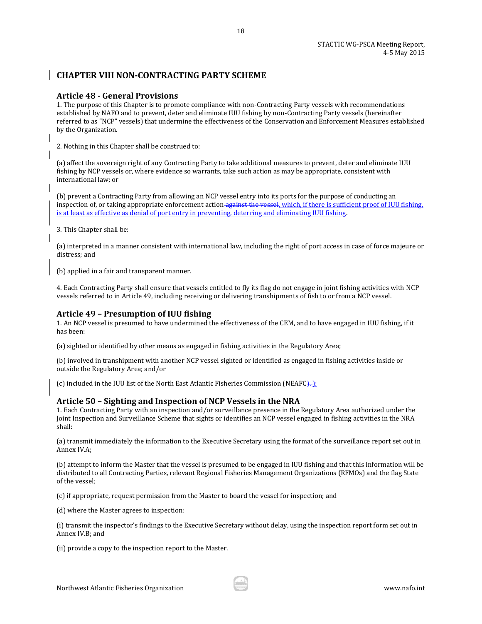# **CHAPTER VIII NON-CONTRACTING PARTY SCHEME**

# **Article 48 - General Provisions**

1. The purpose of this Chapter is to promote compliance with non-Contracting Party vessels with recommendations established by NAFO and to prevent, deter and eliminate IUU fishing by non-Contracting Party vessels (hereinafter referred to as "NCP" vessels) that undermine the effectiveness of the Conservation and Enforcement Measures established by the Organization.

18

2. Nothing in this Chapter shall be construed to:

(a) affect the sovereign right of any Contracting Party to take additional measures to prevent, deter and eliminate IUU fishing by NCP vessels or, where evidence so warrants, take such action as may be appropriate, consistent with international law; or

(b) prevent a Contracting Party from allowing an NCP vessel entry into its ports for the purpose of conducting an inspection of, or taking appropriate enforcement action against the vessel, which, if there is sufficient proof of IUU fishing, is at least as effective as denial of port entry in preventing, deterring and eliminating IUU fishing.

3. This Chapter shall be:

(a) interpreted in a manner consistent with international law, including the right of port access in case of force majeure or distress; and

(b) applied in a fair and transparent manner.

4. Each Contracting Party shall ensure that vessels entitled to fly its flag do not engage in joint fishing activities with NCP vessels referred to in Article 49, including receiving or delivering transhipments of fish to or from a NCP vessel.

# **Article 49 – Presumption of IUU fishing**

1. An NCP vessel is presumed to have undermined the effectiveness of the CEM, and to have engaged in IUU fishing, if it has been:

(a) sighted or identified by other means as engaged in fishing activities in the Regulatory Area;

(b) involved in transhipment with another NCP vessel sighted or identified as engaged in fishing activities inside or outside the Regulatory Area; and/or

(c) included in the IUU list of the North East Atlantic Fisheries Commission (NEAFC $\}$ .

# **Article 50 – Sighting and Inspection of NCP Vessels in the NRA**

1. Each Contracting Party with an inspection and/or surveillance presence in the Regulatory Area authorized under the Joint Inspection and Surveillance Scheme that sights or identifies an NCP vessel engaged in fishing activities in the NRA shall:

(a) transmit immediately the information to the Executive Secretary using the format of the surveillance report set out in Annex IV.A;

(b) attempt to inform the Master that the vessel is presumed to be engaged in IUU fishing and that this information will be distributed to all Contracting Parties, relevant Regional Fisheries Management Organizations (RFMOs) and the flag State of the vessel;

(c) if appropriate, request permission from the Master to board the vessel for inspection; and

(d) where the Master agrees to inspection:

(i) transmit the inspector's findings to the Executive Secretary without delay, using the inspection report form set out in Annex IV.B; and

(ii) provide a copy to the inspection report to the Master.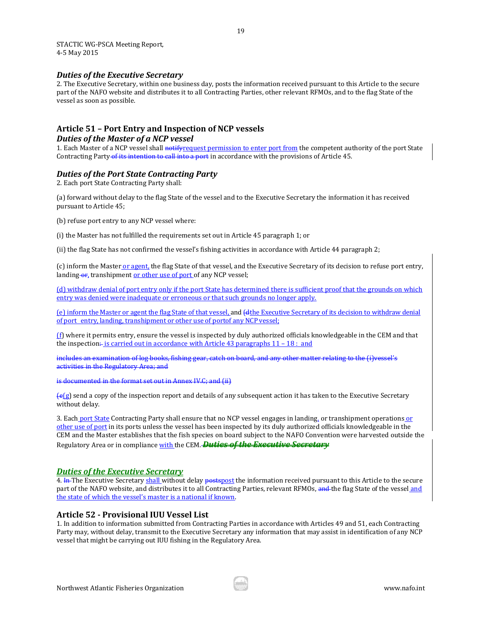#### *Duties of the Executive Secretary*

2. The Executive Secretary, within one business day, posts the information received pursuant to this Article to the secure part of the NAFO website and distributes it to all Contracting Parties, other relevant RFMOs, and to the flag State of the vessel as soon as possible.

# **Article 51 – Port Entry and Inspection of NCP vessels**

#### *Duties of the Master of a NCP vessel*

1. Each Master of a NCP vessel shall notifyrequest permission to enter port from the competent authority of the port State Contracting Party of its intention to call into a port in accordance with the provisions of Article 45.

# *Duties of the Port State Contracting Party*

2. Each port State Contracting Party shall:

(a) forward without delay to the flag State of the vessel and to the Executive Secretary the information it has received pursuant to Article 45;

(b) refuse port entry to any NCP vessel where:

(i) the Master has not fulfilled the requirements set out in Article 45 paragraph 1; or

(ii) the flag State has not confirmed the vessel's fishing activities in accordance with Article 44 paragraph 2;

(c) inform the Master or agent, the flag State of that vessel, and the Executive Secretary of its decision to refuse port entry, landing or, transhipment or other use of port of any NCP vessel;

(d) withdraw denial of port entry only if the port State has determined there is sufficient proof that the grounds on which entry was denied were inadequate or erroneous or that such grounds no longer apply.

(e) inform the Master or agent the flag State of that vessel, and (dthe Executive Secretary of its decision to withdraw denial of port entry, landing, transhipment or other use of portof any NCP vessel;

(f) where it permits entry, ensure the vessel is inspected by duly authorized officials knowledgeable in the CEM and that the inspection $\div$  is carried out in accordance with Article 43 paragraphs 11 – 18 : and

includes an examination of log books, fishing gear, catch on board, and any other matter relating to the (i)vessel's activities in the Regulatory Area; and

is documented in the format set out in Annex IV.C; and (ii)

 $\left\{ \frac{e(g)}{g} \right\}$  send a copy of the inspection report and details of any subsequent action it has taken to the Executive Secretary without delay.

3. Each port State Contracting Party shall ensure that no NCP vessel engages in landing, or transhipment operations or other use of port in its ports unless the vessel has been inspected by its duly authorized officials knowledgeable in the CEM and the Master establishes that the fish species on board subject to the NAFO Convention were harvested outside the Regulatory Area or in compliance with the CEM. *Duties of the Executive Secretary*

#### *Duties of the Executive Secretary*

4. In The Executive Secretary shall without delay postspost the information received pursuant to this Article to the secure part of the NAFO website, and distributes it to all Contracting Parties, relevant RFMOs, and the flag State of the vessel and the state of which the vessel's master is a national if known.

#### **Article 52 - Provisional IUU Vessel List**

1. In addition to information submitted from Contracting Parties in accordance with Articles 49 and 51, each Contracting Party may, without delay, transmit to the Executive Secretary any information that may assist in identification of any NCP vessel that might be carrying out IUU fishing in the Regulatory Area.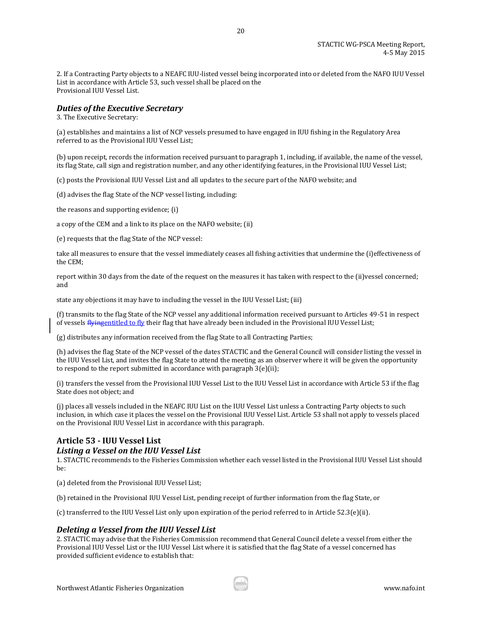2. If a Contracting Party objects to a NEAFC IUU-listed vessel being incorporated into or deleted from the NAFO IUU Vessel List in accordance with Article 53, such vessel shall be placed on the Provisional IUU Vessel List.

20

# *Duties of the Executive Secretary*

3. The Executive Secretary:

(a) establishes and maintains a list of NCP vessels presumed to have engaged in IUU fishing in the Regulatory Area referred to as the Provisional IUU Vessel List;

(b) upon receipt, records the information received pursuant to paragraph 1, including, if available, the name of the vessel, its flag State, call sign and registration number, and any other identifying features, in the Provisional IUU Vessel List;

(c) posts the Provisional IUU Vessel List and all updates to the secure part of the NAFO website; and

(d) advises the flag State of the NCP vessel listing, including:

the reasons and supporting evidence; (i)

a copy of the CEM and a link to its place on the NAFO website; (ii)

(e) requests that the flag State of the NCP vessel:

take all measures to ensure that the vessel immediately ceases all fishing activities that undermine the (i)effectiveness of the CEM;

report within 30 days from the date of the request on the measures it has taken with respect to the (ii)vessel concerned; and

state any objections it may have to including the vessel in the IUU Vessel List; (iii)

(f) transmits to the flag State of the NCP vessel any additional information received pursuant to Articles 49-51 in respect of vessels *flyingentitled to fly their flag that have already been included in the Provisional IUU Vessel List;* 

(g) distributes any information received from the flag State to all Contracting Parties;

(h) advises the flag State of the NCP vessel of the dates STACTIC and the General Council will consider listing the vessel in the IUU Vessel List, and invites the flag State to attend the meeting as an observer where it will be given the opportunity to respond to the report submitted in accordance with paragraph 3(e)(ii);

(i) transfers the vessel from the Provisional IUU Vessel List to the IUU Vessel List in accordance with Article 53 if the flag State does not object; and

(j) places all vessels included in the NEAFC IUU List on the IUU Vessel List unless a Contracting Party objects to such inclusion, in which case it places the vessel on the Provisional IUU Vessel List. Article 53 shall not apply to vessels placed on the Provisional IUU Vessel List in accordance with this paragraph.

# **Article 53 - IUU Vessel List**  *Listing a Vessel on the IUU Vessel List*

1. STACTIC recommends to the Fisheries Commission whether each vessel listed in the Provisional IUU Vessel List should be:

(a) deleted from the Provisional IUU Vessel List;

(b) retained in the Provisional IUU Vessel List, pending receipt of further information from the flag State, or

(c) transferred to the IUU Vessel List only upon expiration of the period referred to in Article 52.3(e)(ii).

# *Deleting a Vessel from the IUU Vessel List*

2. STACTIC may advise that the Fisheries Commission recommend that General Council delete a vessel from either the Provisional IUU Vessel List or the IUU Vessel List where it is satisfied that the flag State of a vessel concerned has provided sufficient evidence to establish that: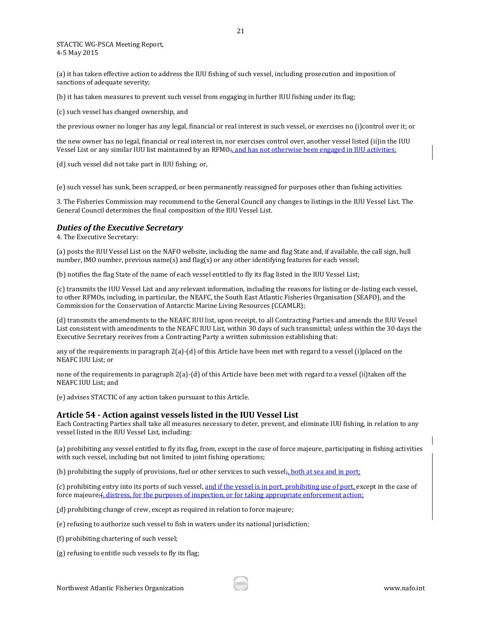(a) it has taken effective action to address the IUU fishing of such vessel, including prosecution and imposition of sanctions of adequate severity;

21

(b) it has taken measures to prevent such vessel from engaging in further IUU fishing under its flag;

(c) such vessel has changed ownership, and

the previous owner no longer has any legal, financial or real interest in such vessel, or exercises no (i)control over it; or

the new owner has no legal, financial or real interest in, nor exercises control over, another vessel listed (ii)in the IUU Vessel List or any similar IUU list maintained by an RFMO<sub>7</sub>, and has not otherwise been engaged in IUU activities;

(d) such vessel did not take part in IUU fishing; or,

(e) such vessel has sunk, been scrapped, or been permanently reassigned for purposes other than fishing activities.

3. The Fisheries Commission may recommend to the General Council any changes to listings in the IUU Vessel List. The General Council determines the final composition of the IUU Vessel List.

#### *Duties of the Executive Secretary*

4. The Executive Secretary:

(a) posts the IUU Vessel List on the NAFO website, including the name and flag State and, if available, the call sign, hull number, IMO number, previous name(s) and flag(s) or any other identifying features for each vessel;

(b) notifies the flag State of the name of each vessel entitled to fly its flag listed in the IUU Vessel List;

(c) transmits the IUU Vessel List and any relevant information, including the reasons for listing or de-listing each vessel, to other RFMOs, including, in particular, the NEAFC, the South East Atlantic Fisheries Organisation (SEAFO), and the Commission for the Conservation of Antarctic Marine Living Resources (CCAMLR);

(d) transmits the amendments to the NEAFC IUU list, upon receipt, to all Contracting Parties and amends the IUU Vessel List consistent with amendments to the NEAFC IUU List, within 30 days of such transmittal; unless within the 30 days the Executive Secretary receives from a Contracting Party a written submission establishing that:

any of the requirements in paragraph 2(a)-(d) of this Article have been met with regard to a vessel (i)placed on the NEAFC IUU List; or

none of the requirements in paragraph 2(a)-(d) of this Article have been met with regard to a vessel (ii)taken off the NEAFC IUU List; and

(e) advises STACTIC of any action taken pursuant to this Article.

#### **Article 54 - Action against vessels listed in the IUU Vessel List**

Each Contracting Parties shall take all measures necessary to deter, prevent, and eliminate IUU fishing, in relation to any vessel listed in the IUU Vessel List, including:

(a) prohibiting any vessel entitled to fly its flag, from, except in the case of force majeure, participating in fishing activities with such vessel, including but not limited to joint fishing operations;

(b) prohibiting the supply of provisions, fuel or other services to such vessel $\frac{1}{r}$ , both at sea and in port;

(c) prohibiting entry into its ports of such vessel, and if the vessel is in port, prohibiting use of port, except in the case of force majeure; f, distress, for the purposes of inspection, or for taking appropriate enforcement action;

(d) prohibiting change of crew, except as required in relation to force majeure;

(e) refusing to authorize such vessel to fish in waters under its national jurisdiction;

(f) prohibiting chartering of such vessel;

(g) refusing to entitle such vessels to fly its flag;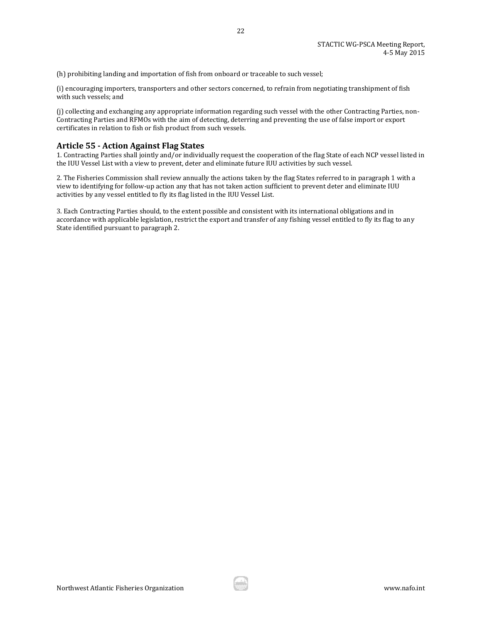(h) prohibiting landing and importation of fish from onboard or traceable to such vessel;

(i) encouraging importers, transporters and other sectors concerned, to refrain from negotiating transhipment of fish with such vessels; and

22

(j) collecting and exchanging any appropriate information regarding such vessel with the other Contracting Parties, non-Contracting Parties and RFMOs with the aim of detecting, deterring and preventing the use of false import or export certificates in relation to fish or fish product from such vessels.

#### **Article 55 - Action Against Flag States**

1. Contracting Parties shall jointly and/or individually request the cooperation of the flag State of each NCP vessel listed in the IUU Vessel List with a view to prevent, deter and eliminate future IUU activities by such vessel.

2. The Fisheries Commission shall review annually the actions taken by the flag States referred to in paragraph 1 with a view to identifying for follow-up action any that has not taken action sufficient to prevent deter and eliminate IUU activities by any vessel entitled to fly its flag listed in the IUU Vessel List.

3. Each Contracting Parties should, to the extent possible and consistent with its international obligations and in accordance with applicable legislation, restrict the export and transfer of any fishing vessel entitled to fly its flag to any State identified pursuant to paragraph 2.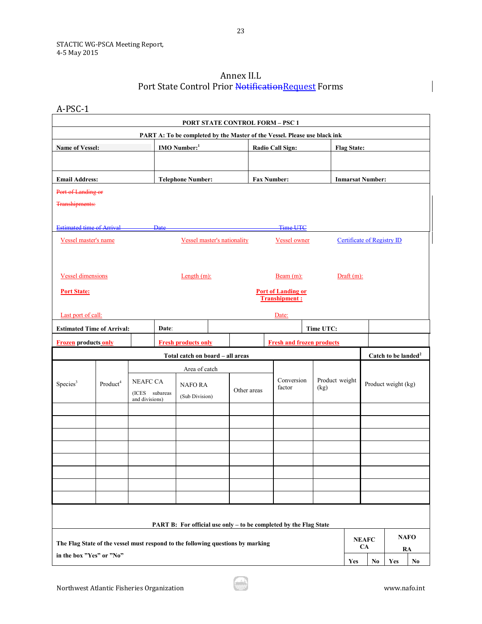# Annex II.L Port State Control Prior NotificationRequest Forms

A-PSC-1

|                                                                                 |                      |                                                     |               |                                    |  | <b>PORT STATE CONTROL FORM - PSC 1</b>                                    |                    |                                                   |  |                                  |                    |                                   |                                 |                   |
|---------------------------------------------------------------------------------|----------------------|-----------------------------------------------------|---------------|------------------------------------|--|---------------------------------------------------------------------------|--------------------|---------------------------------------------------|--|----------------------------------|--------------------|-----------------------------------|---------------------------------|-------------------|
| <b>Name of Vessel:</b>                                                          |                      |                                                     |               | <b>IMO</b> Number: <sup>1</sup>    |  | PART A: To be completed by the Master of the Vessel. Please use black ink |                    | <b>Radio Call Sign:</b>                           |  |                                  | <b>Flag State:</b> |                                   |                                 |                   |
|                                                                                 |                      |                                                     |               |                                    |  |                                                                           |                    |                                                   |  |                                  |                    |                                   |                                 |                   |
| <b>Email Address:</b>                                                           |                      |                                                     |               | <b>Telephone Number:</b>           |  |                                                                           | <b>Fax Number:</b> |                                                   |  |                                  |                    | <b>Inmarsat Number:</b>           |                                 |                   |
| Port of Landing or<br>Transhipments:                                            |                      |                                                     |               |                                    |  |                                                                           |                    |                                                   |  |                                  |                    |                                   |                                 |                   |
|                                                                                 |                      |                                                     |               |                                    |  |                                                                           |                    |                                                   |  |                                  |                    |                                   |                                 |                   |
| <b>Estimated time of Arrival</b>                                                |                      |                                                     | <b>Date</b>   |                                    |  |                                                                           |                    | <b>Time UTC</b>                                   |  |                                  |                    |                                   |                                 |                   |
| Vessel master's name                                                            |                      |                                                     |               | <b>Vessel master's nationality</b> |  |                                                                           |                    | <b>Vessel owner</b>                               |  |                                  |                    | <b>Certificate of Registry ID</b> |                                 |                   |
|                                                                                 |                      |                                                     |               |                                    |  |                                                                           |                    |                                                   |  |                                  |                    |                                   |                                 |                   |
| <b>Vessel dimensions</b>                                                        |                      |                                                     |               | Length $(m)$ :                     |  |                                                                           |                    | $Bean (m)$ :                                      |  |                                  | $Draff(m)$ :       |                                   |                                 |                   |
| <b>Port State:</b>                                                              |                      |                                                     |               |                                    |  |                                                                           |                    | <b>Port of Landing or</b><br><b>Transhipment:</b> |  |                                  |                    |                                   |                                 |                   |
| Last port of call:                                                              |                      |                                                     |               |                                    |  |                                                                           |                    | Date:                                             |  |                                  |                    |                                   |                                 |                   |
| <b>Estimated Time of Arrival:</b>                                               |                      |                                                     | Date:         |                                    |  |                                                                           |                    |                                                   |  | Time UTC:                        |                    |                                   |                                 |                   |
| <b>Frozen</b> products only                                                     |                      |                                                     |               | <b>Fresh products only</b>         |  |                                                                           |                    |                                                   |  | <b>Fresh and frozen products</b> |                    |                                   |                                 |                   |
|                                                                                 |                      |                                                     |               | Total catch on board - all areas   |  |                                                                           |                    |                                                   |  |                                  |                    |                                   | Catch to be landed <sup>2</sup> |                   |
|                                                                                 |                      |                                                     | Area of catch |                                    |  |                                                                           |                    |                                                   |  |                                  |                    |                                   |                                 |                   |
| Species <sup>3</sup>                                                            | Product <sup>4</sup> | <b>NEAFC CA</b><br>(ICES subareas<br>and divisions) |               | <b>NAFORA</b><br>(Sub Division)    |  | Other areas                                                               |                    | Conversion<br>factor                              |  | Product weight<br>(kg)           |                    | Product weight (kg)               |                                 |                   |
|                                                                                 |                      |                                                     |               |                                    |  |                                                                           |                    |                                                   |  |                                  |                    |                                   |                                 |                   |
|                                                                                 |                      |                                                     |               |                                    |  |                                                                           |                    |                                                   |  |                                  |                    |                                   |                                 |                   |
|                                                                                 |                      |                                                     |               |                                    |  |                                                                           |                    |                                                   |  |                                  |                    |                                   |                                 |                   |
|                                                                                 |                      |                                                     |               |                                    |  |                                                                           |                    |                                                   |  |                                  |                    |                                   |                                 |                   |
|                                                                                 |                      |                                                     |               |                                    |  |                                                                           |                    |                                                   |  |                                  |                    |                                   |                                 |                   |
|                                                                                 |                      |                                                     |               |                                    |  |                                                                           |                    |                                                   |  |                                  |                    |                                   |                                 |                   |
|                                                                                 |                      |                                                     |               |                                    |  |                                                                           |                    |                                                   |  |                                  |                    |                                   |                                 |                   |
|                                                                                 |                      |                                                     |               |                                    |  | PART B: For official use only – to be completed by the Flag State         |                    |                                                   |  |                                  |                    |                                   |                                 |                   |
| The Flag State of the vessel must respond to the following questions by marking |                      |                                                     |               |                                    |  |                                                                           |                    |                                                   |  |                                  |                    | <b>NEAFC</b><br><b>CA</b>         |                                 | <b>NAFO</b><br>RA |
| in the box "Yes" or "No"                                                        |                      |                                                     |               |                                    |  |                                                                           |                    |                                                   |  |                                  | Yes                | No                                | Yes                             | No.               |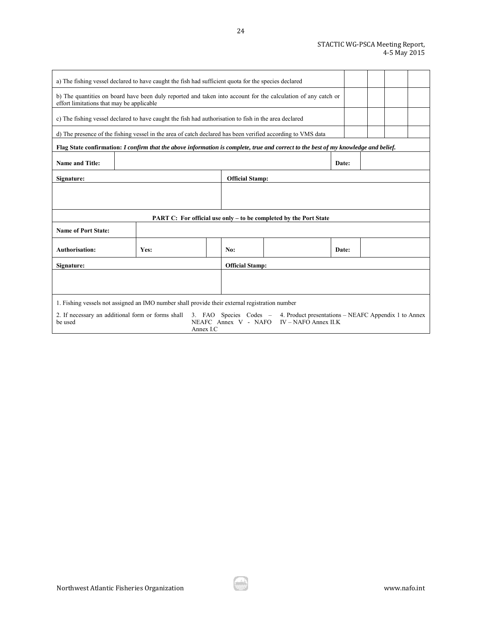| a) The fishing vessel declared to have caught the fish had sufficient quota for the species declared                                                       |      |           |                        |                                                                                                                          |       |  |  |
|------------------------------------------------------------------------------------------------------------------------------------------------------------|------|-----------|------------------------|--------------------------------------------------------------------------------------------------------------------------|-------|--|--|
| b) The quantities on board have been duly reported and taken into account for the calculation of any catch or<br>effort limitations that may be applicable |      |           |                        |                                                                                                                          |       |  |  |
| c) The fishing vessel declared to have caught the fish had authorisation to fish in the area declared                                                      |      |           |                        |                                                                                                                          |       |  |  |
| d) The presence of the fishing vessel in the area of catch declared has been verified according to VMS data                                                |      |           |                        |                                                                                                                          |       |  |  |
| Flag State confirmation: I confirm that the above information is complete, true and correct to the best of my knowledge and belief.                        |      |           |                        |                                                                                                                          |       |  |  |
| <b>Name and Title:</b>                                                                                                                                     |      |           |                        |                                                                                                                          | Date: |  |  |
| Signature:                                                                                                                                                 |      |           | <b>Official Stamp:</b> |                                                                                                                          |       |  |  |
|                                                                                                                                                            |      |           |                        |                                                                                                                          |       |  |  |
|                                                                                                                                                            |      |           |                        | PART C: For official use only – to be completed by the Port State                                                        |       |  |  |
| <b>Name of Port State:</b>                                                                                                                                 |      |           |                        |                                                                                                                          |       |  |  |
| Authorisation:                                                                                                                                             | Yes: |           | No:                    |                                                                                                                          | Date: |  |  |
| Signature:                                                                                                                                                 |      |           | <b>Official Stamp:</b> |                                                                                                                          |       |  |  |
|                                                                                                                                                            |      |           |                        |                                                                                                                          |       |  |  |
| 1. Fishing vessels not assigned an IMO number shall provide their external registration number                                                             |      |           |                        |                                                                                                                          |       |  |  |
| 2. If necessary an additional form or forms shall<br>be used                                                                                               |      | Annex I.C |                        | 3. FAO Species Codes - 4. Product presentations – NEAFC Appendix 1 to Annex<br>NEAFC Annex V - NAFO IV – NAFO Annex II.K |       |  |  |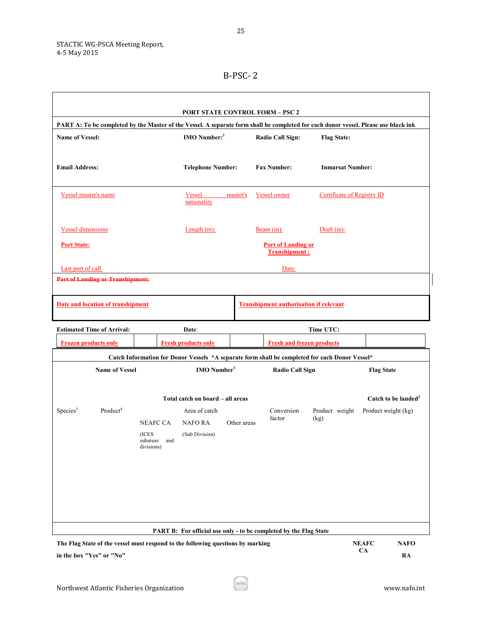| <b>PORT STATE CONTROL FORM - PSC 2</b><br>PART A: To be completed by the Master of the Vessel. A separate form shall be completed for each donor vessel. Please use black ink |                                          |                                                   |                            |  |  |  |  |  |  |  |  |
|-------------------------------------------------------------------------------------------------------------------------------------------------------------------------------|------------------------------------------|---------------------------------------------------|----------------------------|--|--|--|--|--|--|--|--|
| <b>Name of Vessel:</b>                                                                                                                                                        | <b>IMO</b> Number: $1$                   | Radio Call Sign:                                  | <b>Flag State:</b>         |  |  |  |  |  |  |  |  |
| <b>Email Address:</b>                                                                                                                                                         | <b>Telephone Number:</b>                 | <b>Fax Number:</b>                                | <b>Inmarsat Number:</b>    |  |  |  |  |  |  |  |  |
| Vessel master's name                                                                                                                                                          | <b>Vessel</b><br>master's<br>nationality | Vessel owner                                      | Certificate of Registry ID |  |  |  |  |  |  |  |  |
| <b>Vessel dimensions</b>                                                                                                                                                      | Length $(m)$ :                           | Beam $(m)$ :                                      | $Draff(m)$ :               |  |  |  |  |  |  |  |  |
| <b>Port State:</b>                                                                                                                                                            |                                          | <b>Port of Landing or</b><br><b>Transhipment:</b> |                            |  |  |  |  |  |  |  |  |
| Last port of call:                                                                                                                                                            |                                          | Date:                                             |                            |  |  |  |  |  |  |  |  |
| <b>Port of Landing or Transhipment:</b>                                                                                                                                       |                                          |                                                   |                            |  |  |  |  |  |  |  |  |
| Date and location of transhipment                                                                                                                                             |                                          | <b>Transhipment authorisation if relevant</b>     |                            |  |  |  |  |  |  |  |  |
| <b>Estimated Time of Arrival:</b>                                                                                                                                             | Date:                                    |                                                   | Time UTC:                  |  |  |  |  |  |  |  |  |

|                      | <b>Frozen products only</b>                                                     |                                                                                                | <b>Fresh products only</b>                                               |             | <b>Fresh and frozen products</b> |                |  |                           |                                 |  |
|----------------------|---------------------------------------------------------------------------------|------------------------------------------------------------------------------------------------|--------------------------------------------------------------------------|-------------|----------------------------------|----------------|--|---------------------------|---------------------------------|--|
|                      |                                                                                 | Catch Information for Donor Vessels *A separate form shall be completed for each Donor Vessel* |                                                                          |             |                                  |                |  |                           |                                 |  |
|                      | <b>Name of Vessel</b>                                                           |                                                                                                | $IMO$ Number <sup>1</sup>                                                |             | <b>Radio Call Sign</b>           |                |  | <b>Flag State</b>         |                                 |  |
|                      |                                                                                 |                                                                                                | Total catch on board - all areas                                         |             |                                  |                |  |                           | Catch to be landed <sup>2</sup> |  |
| Species <sup>3</sup> | Product <sup>4</sup>                                                            |                                                                                                | Area of catch                                                            |             | Conversion                       | Product weight |  | Product weight (kg)       |                                 |  |
|                      |                                                                                 | <b>NEAFC CA</b>                                                                                | <b>NAFORA</b>                                                            | Other areas | factor                           | (kg)           |  |                           |                                 |  |
|                      |                                                                                 | (ICES<br>subareas<br>and<br>divisions)                                                         | (Sub Division)                                                           |             |                                  |                |  |                           |                                 |  |
|                      |                                                                                 |                                                                                                | <b>PART B:</b> For official use only - to be completed by the Flag State |             |                                  |                |  |                           |                                 |  |
|                      | The Flag State of the vessel must respond to the following questions by marking |                                                                                                |                                                                          |             |                                  |                |  | <b>NEAFC</b><br><b>CA</b> | <b>NAFO</b><br>$\sim$ $\sim$    |  |

**in the box "Yes" or "No"**

**RA**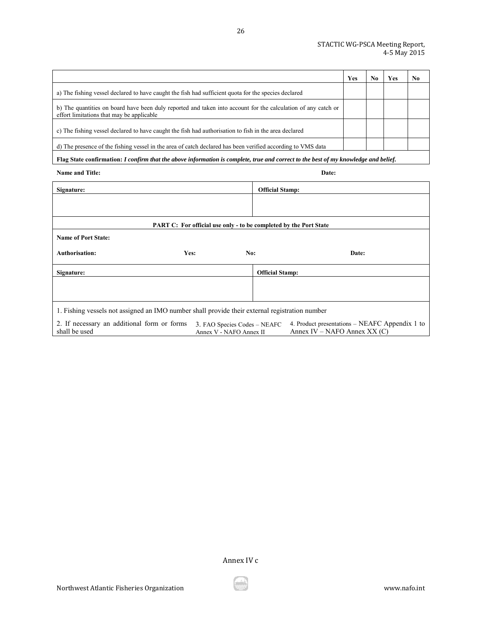|                                                                                                                                                            | Yes | No | Yes | No. |
|------------------------------------------------------------------------------------------------------------------------------------------------------------|-----|----|-----|-----|
| a) The fishing vessel declared to have caught the fish had sufficient quota for the species declared                                                       |     |    |     |     |
| b) The quantities on board have been duly reported and taken into account for the calculation of any catch or<br>effort limitations that may be applicable |     |    |     |     |
| c) The fishing vessel declared to have caught the fish had authorisation to fish in the area declared                                                      |     |    |     |     |
| d) The presence of the fishing vessel in the area of catch declared has been verified according to VMS data                                                |     |    |     |     |
| Flag State confirmation: I confirm that the above information is complete, true and correct to the best of my knowledge and belief.                        |     |    |     |     |

26

| <b>Name and Title:</b> | <b>Date:</b> |
|------------------------|--------------|
|------------------------|--------------|

| Signature:                                                                                     |                                                                          | <b>Official Stamp:</b> |                                                                                  |
|------------------------------------------------------------------------------------------------|--------------------------------------------------------------------------|------------------------|----------------------------------------------------------------------------------|
|                                                                                                |                                                                          |                        |                                                                                  |
|                                                                                                |                                                                          |                        |                                                                                  |
|                                                                                                | <b>PART C:</b> For official use only - to be completed by the Port State |                        |                                                                                  |
| <b>Name of Port State:</b>                                                                     |                                                                          |                        |                                                                                  |
| <b>Authorisation:</b><br>Yes:                                                                  | No:                                                                      |                        | Date:                                                                            |
| Signature:                                                                                     |                                                                          | <b>Official Stamp:</b> |                                                                                  |
|                                                                                                |                                                                          |                        |                                                                                  |
|                                                                                                |                                                                          |                        |                                                                                  |
| 1. Fishing vessels not assigned an IMO number shall provide their external registration number |                                                                          |                        |                                                                                  |
| 2. If necessary an additional form or forms<br>shall be used                                   | 3. FAO Species Codes – NEAFC<br>Annex V - NAFO Annex II                  |                        | 4. Product presentations – NEAFC Appendix 1 to<br>Annex IV – NAFO Annex XX $(C)$ |

Annex IV c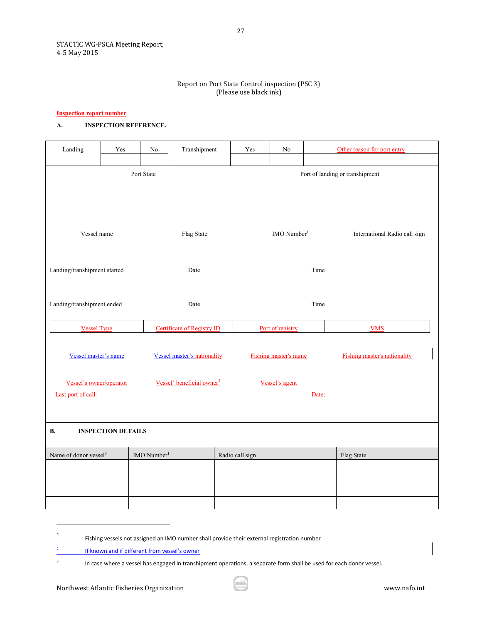### Report on Port State Control inspection (PSC 3) (Please use black ink)

#### **Inspection report number**

# **A. INSPECTION REFERENCE.**

| Landing                           | Yes                       | $\rm No$              | Transhipment                          | $\operatorname{Yes}$ | $\rm No$                | Other reason for port entry         |  |  |
|-----------------------------------|---------------------------|-----------------------|---------------------------------------|----------------------|-------------------------|-------------------------------------|--|--|
|                                   |                           |                       |                                       |                      |                         |                                     |  |  |
|                                   |                           | Port State            |                                       |                      |                         | Port of landing or transhipment     |  |  |
|                                   |                           |                       |                                       |                      |                         |                                     |  |  |
|                                   |                           |                       |                                       |                      |                         |                                     |  |  |
|                                   |                           |                       |                                       |                      |                         |                                     |  |  |
|                                   |                           |                       |                                       |                      |                         |                                     |  |  |
| Vessel name                       |                           |                       | Flag State                            |                      | IMO Number <sup>1</sup> | International Radio call sign       |  |  |
|                                   |                           |                       |                                       |                      |                         |                                     |  |  |
|                                   |                           |                       |                                       |                      |                         |                                     |  |  |
| Landing/transhipment started      |                           |                       | Date                                  |                      |                         | Time                                |  |  |
|                                   |                           |                       |                                       |                      |                         |                                     |  |  |
| Landing/transhipment ended        |                           |                       |                                       |                      |                         |                                     |  |  |
|                                   |                           |                       | Date                                  |                      |                         | Time                                |  |  |
| <b>Vessel Type</b>                |                           |                       | Certificate of Registry ID            |                      | Port of registry        | <b>VMS</b>                          |  |  |
|                                   |                           |                       |                                       |                      |                         |                                     |  |  |
|                                   |                           |                       |                                       |                      |                         |                                     |  |  |
| Vessel master's name              |                           |                       | <b>Vessel master's nationality</b>    |                      | Fishing master's name   | <b>Fishing master's nationality</b> |  |  |
|                                   |                           |                       |                                       |                      |                         |                                     |  |  |
| Vessel's owner/operator           |                           |                       | Vessel' beneficial owner <sup>2</sup> |                      | Vessel's agent          |                                     |  |  |
| Last port of call:                |                           |                       |                                       |                      |                         | Date:                               |  |  |
|                                   |                           |                       |                                       |                      |                         |                                     |  |  |
| В.                                | <b>INSPECTION DETAILS</b> |                       |                                       |                      |                         |                                     |  |  |
|                                   |                           |                       |                                       |                      |                         |                                     |  |  |
| Name of donor vessel <sup>3</sup> |                           | $\text{IMO Number}^1$ |                                       | Radio call sign      |                         | Flag State                          |  |  |
|                                   |                           |                       |                                       |                      |                         |                                     |  |  |
|                                   |                           |                       |                                       |                      |                         |                                     |  |  |
|                                   |                           |                       |                                       |                      |                         |                                     |  |  |
|                                   |                           |                       |                                       |                      |                         |                                     |  |  |

1 Fishing vessels not assigned an IMO number shall provide their external registration number

<sup>2</sup> If known and if different from vessel's owner

<sup>&</sup>lt;sup>3</sup> In case where a vessel has engaged in transhipment operations, a separate form shall be used for each donor vessel.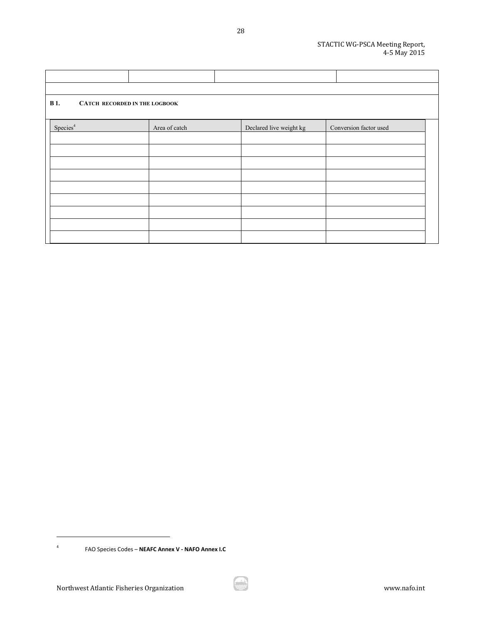| <b>B</b> 1.<br><b>CATCH RECORDED IN THE LOGBOOK</b> |               |                         |                        |
|-----------------------------------------------------|---------------|-------------------------|------------------------|
| Species <sup>4</sup>                                | Area of catch | Declared live weight kg | Conversion factor used |
|                                                     |               |                         |                        |
|                                                     |               |                         |                        |
|                                                     |               |                         |                        |
|                                                     |               |                         |                        |
|                                                     |               |                         |                        |
|                                                     |               |                         |                        |
|                                                     |               |                         |                        |
|                                                     |               |                         |                        |
|                                                     |               |                         |                        |

28

FAO Species Codes – **NEAFC Annex V - NAFO Annex I.C**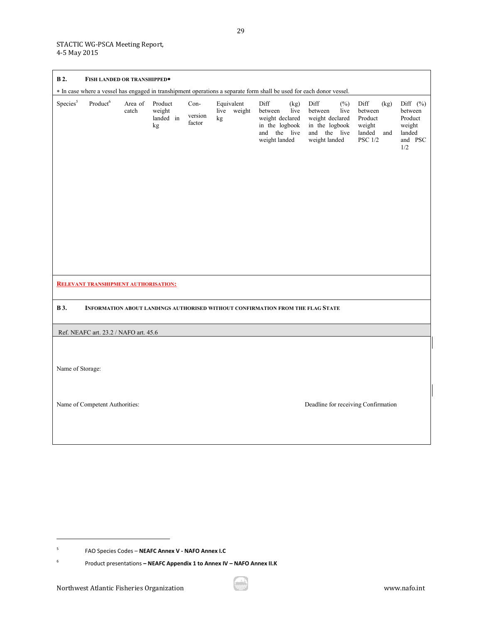| <b>B2.</b>           | FISH LANDED OR TRANSHIPPED*                 |                  |                                      |                           |    |                           |                                                                                       |              |                                                                                                                      |                                                                  |             |                                                                         |
|----------------------|---------------------------------------------|------------------|--------------------------------------|---------------------------|----|---------------------------|---------------------------------------------------------------------------------------|--------------|----------------------------------------------------------------------------------------------------------------------|------------------------------------------------------------------|-------------|-------------------------------------------------------------------------|
|                      |                                             |                  |                                      |                           |    |                           |                                                                                       |              | * In case where a vessel has engaged in transhipment operations a separate form shall be used for each donor vessel. |                                                                  |             |                                                                         |
| Species <sup>5</sup> | Product <sup>6</sup>                        | Area of<br>catch | Product<br>weight<br>landed in<br>kg | Con-<br>version<br>factor | kg | Equivalent<br>live weight | Diff<br>between<br>weight declared<br>in the logbook<br>and the live<br>weight landed | (kg)<br>live | Diff<br>$(\%)$<br>between<br>live<br>weight declared<br>in the logbook<br>and the live<br>weight landed              | Diff<br>between<br>Product<br>weight<br>landed<br><b>PSC 1/2</b> | (kg)<br>and | Diff $(\%)$<br>between<br>Product<br>weight<br>landed<br>and PSC<br>1/2 |
|                      | <b>RELEVANT TRANSHIPMENT AUTHORISATION:</b> |                  |                                      |                           |    |                           |                                                                                       |              |                                                                                                                      |                                                                  |             |                                                                         |
| <b>B</b> 3.          |                                             |                  |                                      |                           |    |                           |                                                                                       |              | INFORMATION ABOUT LANDINGS AUTHORISED WITHOUT CONFIRMATION FROM THE FLAG STATE                                       |                                                                  |             |                                                                         |
|                      | Ref. NEAFC art. 23.2 / NAFO art. 45.6       |                  |                                      |                           |    |                           |                                                                                       |              |                                                                                                                      |                                                                  |             |                                                                         |
| Name of Storage:     | Name of Competent Authorities:              |                  |                                      |                           |    |                           |                                                                                       |              | Deadline for receiving Confirmation                                                                                  |                                                                  |             |                                                                         |
|                      |                                             |                  |                                      |                           |    |                           |                                                                                       |              |                                                                                                                      |                                                                  |             |                                                                         |

<sup>5</sup> FAO Species Codes – **NEAFC Annex V - NAFO Annex I.C**

<sup>6</sup> Product presentations **– NEAFC Appendix 1 to Annex IV – NAFO Annex II.K**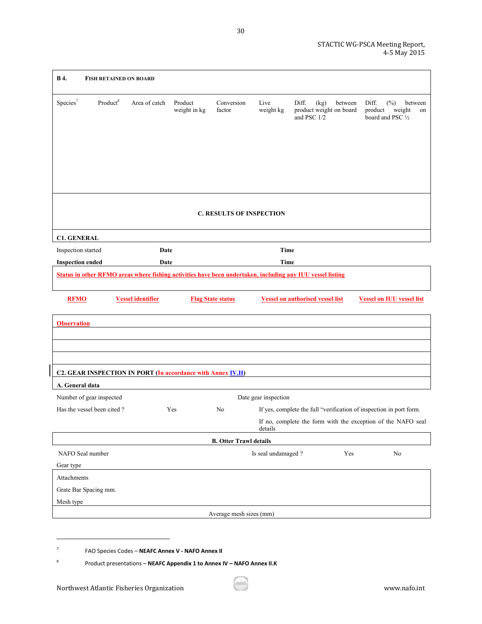| <b>B4.</b><br><b>FISH RETAINED ON BOARD</b>                                                                |                          |                         |                               |                                                                         |                      |      |                                    |                  |                             |                                  |
|------------------------------------------------------------------------------------------------------------|--------------------------|-------------------------|-------------------------------|-------------------------------------------------------------------------|----------------------|------|------------------------------------|------------------|-----------------------------|----------------------------------|
| Species <sup>7</sup><br>Product <sup>8</sup>                                                               | Area of catch            | Product<br>weight in kg | Conversion<br>factor          | Live<br>weight kg                                                       | Diff.<br>and PSC 1/2 | (kg) | between<br>product weight on board | Diff.<br>product | $(\%)$<br>board and PSC 1/2 | between<br>weight<br>on          |
|                                                                                                            |                          |                         |                               | <b>C. RESULTS OF INSPECTION</b>                                         |                      |      |                                    |                  |                             |                                  |
|                                                                                                            |                          |                         |                               |                                                                         |                      |      |                                    |                  |                             |                                  |
| <b>C1. GENERAL</b><br>Inspection started                                                                   | Date                     |                         |                               | <b>Time</b>                                                             |                      |      |                                    |                  |                             |                                  |
| <b>Inspection ended</b>                                                                                    | Date                     |                         |                               | <b>Time</b>                                                             |                      |      |                                    |                  |                             |                                  |
| Status in other RFMO areas where fishing activities have been undertaken, including any IUU vessel listing |                          |                         |                               |                                                                         |                      |      |                                    |                  |                             |                                  |
| <b>RFMO</b>                                                                                                | <b>Vessel identifier</b> |                         | <b>Flag State status</b>      | <b>Vessel on authorised vessel list</b>                                 |                      |      |                                    |                  |                             | <b>Vessel on IUU vessel list</b> |
| <b>Observation</b>                                                                                         |                          |                         |                               |                                                                         |                      |      |                                    |                  |                             |                                  |
|                                                                                                            |                          |                         |                               |                                                                         |                      |      |                                    |                  |                             |                                  |
|                                                                                                            |                          |                         |                               |                                                                         |                      |      |                                    |                  |                             |                                  |
|                                                                                                            |                          |                         |                               |                                                                         |                      |      |                                    |                  |                             |                                  |
| C2. GEAR INSPECTION IN PORT (In accordance with Annex IV.H)                                                |                          |                         |                               |                                                                         |                      |      |                                    |                  |                             |                                  |
| A. General data                                                                                            |                          |                         |                               |                                                                         |                      |      |                                    |                  |                             |                                  |
| Number of gear inspected                                                                                   |                          |                         |                               | Date gear inspection                                                    |                      |      |                                    |                  |                             |                                  |
|                                                                                                            |                          |                         |                               |                                                                         |                      |      |                                    |                  |                             |                                  |
| Has the vessel been cited?                                                                                 |                          | Yes                     | No                            | If yes, complete the full "verification of inspection in port form.     |                      |      |                                    |                  |                             |                                  |
|                                                                                                            |                          |                         |                               | If no, complete the form with the exception of the NAFO seal<br>details |                      |      |                                    |                  |                             |                                  |
|                                                                                                            |                          |                         | <b>B. Otter Trawl details</b> |                                                                         |                      |      |                                    |                  |                             |                                  |
| NAFO Seal number                                                                                           |                          |                         |                               | Is seal undamaged?                                                      |                      |      | Yes                                |                  | No                          |                                  |
| Gear type                                                                                                  |                          |                         |                               |                                                                         |                      |      |                                    |                  |                             |                                  |
| Attachments                                                                                                |                          |                         |                               |                                                                         |                      |      |                                    |                  |                             |                                  |
| Grate Bar Spacing mm.                                                                                      |                          |                         |                               |                                                                         |                      |      |                                    |                  |                             |                                  |
| Mesh type                                                                                                  |                          |                         |                               |                                                                         |                      |      |                                    |                  |                             |                                  |

8 Product presentations – **NEAFC Appendix 1 to Annex IV – NAFO Annex II.K**

<sup>7</sup> FAO Species Codes – **NEAFC Annex V - NAFO Annex II**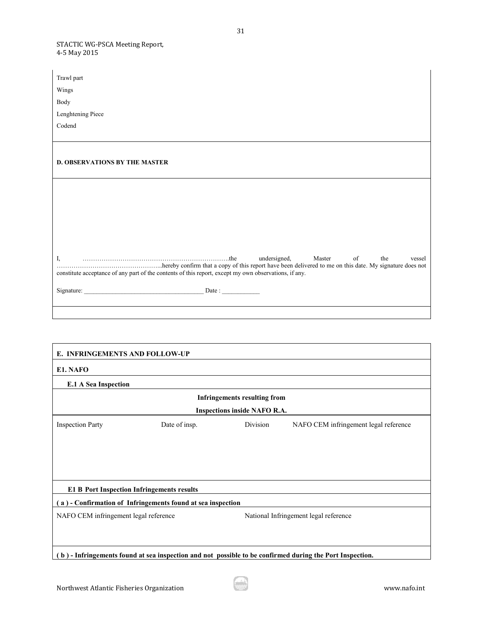$\mathbf{r}$ 

| Trawl part                                                                                            |                               |  |  |  |
|-------------------------------------------------------------------------------------------------------|-------------------------------|--|--|--|
| Wings                                                                                                 |                               |  |  |  |
| Body                                                                                                  |                               |  |  |  |
| Lenghtening Piece                                                                                     |                               |  |  |  |
| Codend                                                                                                |                               |  |  |  |
|                                                                                                       |                               |  |  |  |
|                                                                                                       |                               |  |  |  |
| <b>D. OBSERVATIONS BY THE MASTER</b>                                                                  |                               |  |  |  |
|                                                                                                       |                               |  |  |  |
|                                                                                                       |                               |  |  |  |
|                                                                                                       |                               |  |  |  |
|                                                                                                       |                               |  |  |  |
|                                                                                                       |                               |  |  |  |
|                                                                                                       |                               |  |  |  |
|                                                                                                       | $\sigma$ of<br>the            |  |  |  |
| I,                                                                                                    | undersigned, Master<br>vessel |  |  |  |
| constitute acceptance of any part of the contents of this report, except my own observations, if any. |                               |  |  |  |
|                                                                                                       |                               |  |  |  |
|                                                                                                       |                               |  |  |  |
|                                                                                                       |                               |  |  |  |

| E. INFRINGEMENTS AND FOLLOW-UP                                                                           |               |          |                                       |  |  |  |
|----------------------------------------------------------------------------------------------------------|---------------|----------|---------------------------------------|--|--|--|
| E1. NAFO                                                                                                 |               |          |                                       |  |  |  |
| <b>E.1 A Sea Inspection</b>                                                                              |               |          |                                       |  |  |  |
| <b>Infringements resulting from</b>                                                                      |               |          |                                       |  |  |  |
| <b>Inspections inside NAFO R.A.</b>                                                                      |               |          |                                       |  |  |  |
| <b>Inspection Party</b>                                                                                  | Date of insp. | Division | NAFO CEM infringement legal reference |  |  |  |
|                                                                                                          |               |          |                                       |  |  |  |
|                                                                                                          |               |          |                                       |  |  |  |
|                                                                                                          |               |          |                                       |  |  |  |
| <b>E1 B Port Inspection Infringements results</b>                                                        |               |          |                                       |  |  |  |
| a) - Confirmation of Infringements found at sea inspection                                               |               |          |                                       |  |  |  |
| NAFO CEM infringement legal reference                                                                    |               |          | National Infringement legal reference |  |  |  |
|                                                                                                          |               |          |                                       |  |  |  |
|                                                                                                          |               |          |                                       |  |  |  |
| (b) - Infringements found at sea inspection and not possible to be confirmed during the Port Inspection. |               |          |                                       |  |  |  |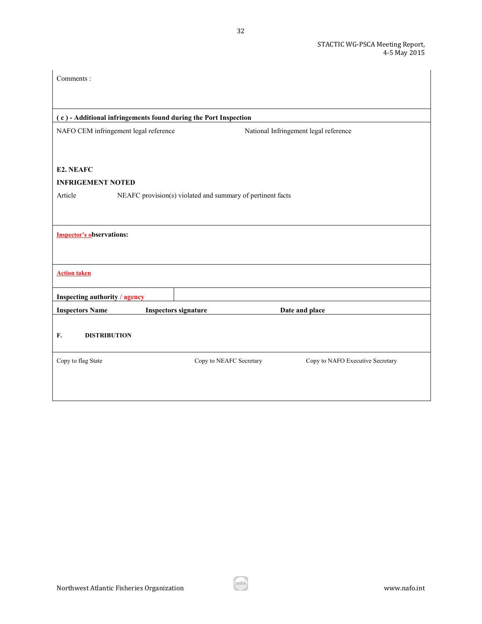| Comments:                                                             |                             |                                       |                                  |  |  |  |
|-----------------------------------------------------------------------|-----------------------------|---------------------------------------|----------------------------------|--|--|--|
|                                                                       |                             |                                       |                                  |  |  |  |
| (c) - Additional infringements found during the Port Inspection       |                             |                                       |                                  |  |  |  |
| NAFO CEM infringement legal reference                                 |                             | National Infringement legal reference |                                  |  |  |  |
|                                                                       |                             |                                       |                                  |  |  |  |
| E2. NEAFC                                                             |                             |                                       |                                  |  |  |  |
| <b>INFRIGEMENT NOTED</b>                                              |                             |                                       |                                  |  |  |  |
| Article<br>NEAFC provision(s) violated and summary of pertinent facts |                             |                                       |                                  |  |  |  |
|                                                                       |                             |                                       |                                  |  |  |  |
| <b>Inspector's observations:</b>                                      |                             |                                       |                                  |  |  |  |
|                                                                       |                             |                                       |                                  |  |  |  |
|                                                                       |                             |                                       |                                  |  |  |  |
| <b>Action taken</b>                                                   |                             |                                       |                                  |  |  |  |
| <b>Inspecting authority / agency</b>                                  |                             |                                       |                                  |  |  |  |
| <b>Inspectors Name</b>                                                | <b>Inspectors signature</b> | Date and place                        |                                  |  |  |  |
|                                                                       |                             |                                       |                                  |  |  |  |
| F.<br><b>DISTRIBUTION</b>                                             |                             |                                       |                                  |  |  |  |
| Copy to flag State                                                    | Copy to NEAFC Secretary     |                                       | Copy to NAFO Executive Secretary |  |  |  |
|                                                                       |                             |                                       |                                  |  |  |  |
|                                                                       |                             |                                       |                                  |  |  |  |

32

 $\overline{\phantom{a}}$